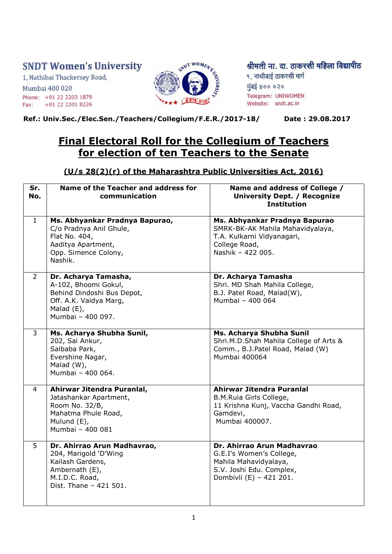**SNDT Women's University** 

1, Nathibai Thackersey Road, Mumbai 400 020 Phone: +91 22 2203 1879 Fax: +91 22 2201 8226



## श्रीमती ना. दा. ठाकरसी महिला विद्यापीठ

१. नाथीबाई ठाकरसी मार्ग मुंबई ४०० ०२० Telegram: UNIWOMEN Website: sndt.ac.in

**Ref.: Univ.Sec./Elec.Sen./Teachers/Collegium/F.E.R./2017-18/ Date : 29.08.2017**

## **Final Electoral Roll for the Collegium of Teachers for election of ten Teachers to the Senate**

## **(U/s 28(2)(r) of the Maharashtra Public Universities Act, 2016)**

| Sr.<br>No.     | Name of the Teacher and address for<br>communication                                                                                    | Name and address of College /<br><b>University Dept. / Recognize</b><br><b>Institution</b>                                             |
|----------------|-----------------------------------------------------------------------------------------------------------------------------------------|----------------------------------------------------------------------------------------------------------------------------------------|
| $\mathbf{1}$   | Ms. Abhyankar Pradnya Bapurao,<br>C/o Pradnya Anil Ghule,<br>Flat No. 404,<br>Aaditya Apartment,<br>Opp. Simence Colony,<br>Nashik.     | Ms. Abhyankar Pradnya Bapurao<br>SMRK-BK-AK Mahila Mahavidyalaya,<br>T.A. Kulkarni Vidyanagari,<br>College Road,<br>Nashik - 422 005.  |
| $\overline{2}$ | Dr. Acharya Tamasha,<br>A-102, Bhoomi Gokul,<br>Behind Dindoshi Bus Depot,<br>Off. A.K. Vaidya Marg,<br>Malad (E),<br>Mumbai - 400 097. | Dr. Acharya Tamasha<br>Shri. MD Shah Mahila College,<br>B.J. Patel Road, Malad(W),<br>Mumbai - 400 064                                 |
| 3              | Ms. Acharya Shubha Sunil,<br>202, Sai Ankur,<br>Saibaba Park,<br>Evershine Nagar,<br>Malad (W),<br>Mumbai - 400 064.                    | Ms. Acharya Shubha Sunil<br>Shri.M.D.Shah Mahila College of Arts &<br>Comm., B.J.Patel Road, Malad (W)<br>Mumbai 400064                |
| $\overline{4}$ | Ahirwar Jitendra Puranlal,<br>Jatashankar Apartment,<br>Room No. 32/B,<br>Mahatma Phule Road,<br>Mulund (E),<br>Mumbai - 400 081        | Ahirwar Jitendra Puranlal<br>B.M.Ruia Girls College,<br>11 Krishna Kunj, Vaccha Gandhi Road,<br>Gamdevi,<br>Mumbai 400007.             |
| 5              | Dr. Ahirrao Arun Madhavrao,<br>204, Marigold 'D'Wing<br>Kailash Gardens,<br>Ambernath (E),<br>M.I.D.C. Road,<br>Dist. Thane - 421 501.  | Dr. Ahirrao Arun Madhavrao<br>G.E.I's Women's College,<br>Mahila Mahavidyalaya,<br>S.V. Joshi Edu. Complex,<br>Dombivli (E) - 421 201. |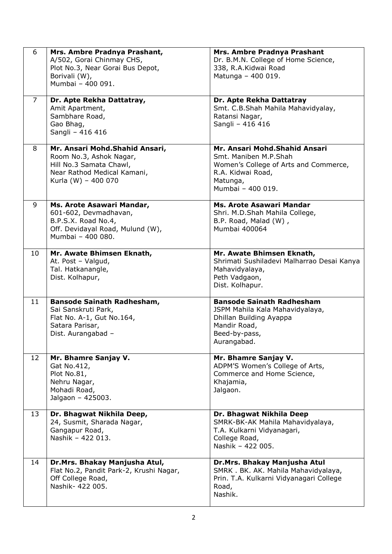| 6  | Mrs. Ambre Pradnya Prashant,<br>A/502, Gorai Chinmay CHS,<br>Plot No.3, Near Gorai Bus Depot,<br>Borivali (W),<br>Mumbai - 400 091.        | Mrs. Ambre Pradnya Prashant<br>Dr. B.M.N. College of Home Science,<br>338, R.A.Kidwai Road<br>Matunga - 400 019.                                       |
|----|--------------------------------------------------------------------------------------------------------------------------------------------|--------------------------------------------------------------------------------------------------------------------------------------------------------|
| 7  | Dr. Apte Rekha Dattatray,<br>Amit Apartment,<br>Sambhare Road,<br>Gao Bhag,<br>Sangli - 416 416                                            | Dr. Apte Rekha Dattatray<br>Smt. C.B.Shah Mahila Mahavidyalay,<br>Ratansi Nagar,<br>Sangli - 416 416                                                   |
| 8  | Mr. Ansari Mohd.Shahid Ansari,<br>Room No.3, Ashok Nagar,<br>Hill No.3 Samata Chawl,<br>Near Rathod Medical Kamani,<br>Kurla (W) - 400 070 | Mr. Ansari Mohd. Shahid Ansari<br>Smt. Maniben M.P.Shah<br>Women's College of Arts and Commerce,<br>R.A. Kidwai Road,<br>Matunga,<br>Mumbai - 400 019. |
| 9  | Ms. Arote Asawari Mandar,<br>601-602, Devmadhavan,<br>B.P.S.X. Road No.4,<br>Off. Devidayal Road, Mulund (W),<br>Mumbai - 400 080.         | Ms. Arote Asawari Mandar<br>Shri. M.D.Shah Mahila College,<br>B.P. Road, Malad (W),<br>Mumbai 400064                                                   |
| 10 | Mr. Awate Bhimsen Eknath,<br>At. Post - Valgud,<br>Tal. Hatkanangle,<br>Dist. Kolhapur,                                                    | Mr. Awate Bhimsen Eknath,<br>Shrimati Sushiladevi Malharrao Desai Kanya<br>Mahavidyalaya,<br>Peth Vadgaon,<br>Dist. Kolhapur.                          |
| 11 | <b>Bansode Sainath Radhesham,</b><br>Sai Sanskruti Park,<br>Flat No. A-1, Gut No.164,<br>Satara Parisar,<br>Dist. Aurangabad -             | <b>Bansode Sainath Radhesham</b><br>JSPM Mahila Kala Mahavidyalaya,<br>Dhillan Building Ayappa<br>Mandir Road,<br>Beed-by-pass,<br>Aurangabad.         |
| 12 | Mr. Bhamre Sanjay V.<br>Gat No.412,<br>Plot No.81,<br>Nehru Nagar,<br>Mohadi Road,<br>Jalgaon - 425003.                                    | Mr. Bhamre Sanjay V.<br>ADPM'S Women's College of Arts,<br>Commerce and Home Science,<br>Khajamia,<br>Jalgaon.                                         |
| 13 | Dr. Bhagwat Nikhila Deep,<br>24, Susmit, Sharada Nagar,<br>Gangapur Road,<br>Nashik - 422 013.                                             | Dr. Bhagwat Nikhila Deep<br>SMRK-BK-AK Mahila Mahavidyalaya,<br>T.A. Kulkarni Vidyanagari,<br>College Road,<br>Nashik - 422 005.                       |
| 14 | Dr.Mrs. Bhakay Manjusha Atul,<br>Flat No.2, Pandit Park-2, Krushi Nagar,<br>Off College Road,<br>Nashik- 422 005.                          | Dr.Mrs. Bhakay Manjusha Atul<br>SMRK . BK. AK. Mahila Mahavidyalaya,<br>Prin. T.A. Kulkarni Vidyanagari College<br>Road,<br>Nashik.                    |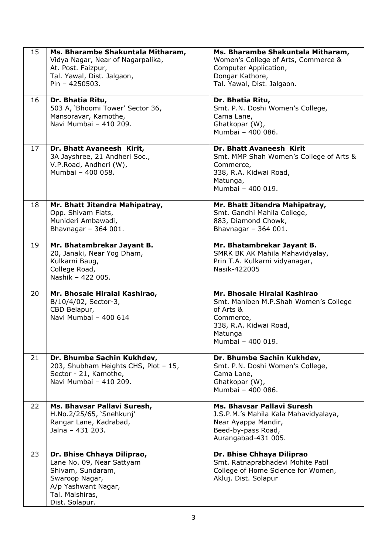| 15 | Ms. Bharambe Shakuntala Mitharam,               | Ms. Bharambe Shakuntala Mitharam,              |
|----|-------------------------------------------------|------------------------------------------------|
|    | Vidya Nagar, Near of Nagarpalika,               | Women's College of Arts, Commerce &            |
|    | At. Post. Faizpur,                              | Computer Application,                          |
|    | Tal. Yawal, Dist. Jalgaon,                      | Dongar Kathore,                                |
|    | Pin $-4250503$ .                                | Tal. Yawal, Dist. Jalgaon.                     |
| 16 | Dr. Bhatia Ritu,                                | Dr. Bhatia Ritu,                               |
|    | 503 A, 'Bhoomi Tower' Sector 36,                | Smt. P.N. Doshi Women's College,               |
|    | Mansoravar, Kamothe,                            | Cama Lane,                                     |
|    | Navi Mumbai - 410 209.                          | Ghatkopar (W),                                 |
|    |                                                 | Mumbai - 400 086.                              |
| 17 | Dr. Bhatt Avaneesh Kirit,                       | Dr. Bhatt Avaneesh Kirit                       |
|    | 3A Jayshree, 21 Andheri Soc.,                   | Smt. MMP Shah Women's College of Arts &        |
|    | V.P.Road, Andheri (W),                          | Commerce,                                      |
|    | Mumbai - 400 058.                               | 338, R.A. Kidwai Road,                         |
|    |                                                 | Matunga,                                       |
|    |                                                 | Mumbai - 400 019.                              |
| 18 | Mr. Bhatt Jitendra Mahipatray,                  | Mr. Bhatt Jitendra Mahipatray,                 |
|    | Opp. Shivam Flats,                              | Smt. Gandhi Mahila College,                    |
|    | Munideri Ambawadi,                              | 883, Diamond Chowk,                            |
|    | Bhavnagar - 364 001.                            | Bhavnagar $-364001$ .                          |
| 19 | Mr. Bhatambrekar Jayant B.                      | Mr. Bhatambrekar Jayant B.                     |
|    | 20, Janaki, Near Yog Dham,                      | SMRK BK AK Mahila Mahavidyalay,                |
|    | Kulkarni Baug,                                  | Prin T.A. Kulkarni vidyanagar,                 |
|    | College Road,                                   | Nasik-422005                                   |
|    | Nashik - 422 005.                               |                                                |
| 20 | Mr. Bhosale Hiralal Kashirao,                   | Mr. Bhosale Hiralal Kashirao                   |
|    | B/10/4/02, Sector-3,                            | Smt. Maniben M.P.Shah Women's College          |
|    | CBD Belapur,                                    | of Arts &                                      |
|    | Navi Mumbai - 400 614                           | Commerce,                                      |
|    |                                                 | 338, R.A. Kidwai Road,<br>Matunga              |
|    |                                                 | Mumbai - 400 019.                              |
|    |                                                 |                                                |
| 21 | Dr. Bhumbe Sachin Kukhdev,                      | Dr. Bhumbe Sachin Kukhdev,                     |
|    | 203, Shubham Heights CHS, Plot - 15,            | Smt. P.N. Doshi Women's College,<br>Cama Lane, |
|    | Sector - 21, Kamothe,<br>Navi Mumbai - 410 209. | Ghatkopar (W),                                 |
|    |                                                 | Mumbai - 400 086.                              |
|    |                                                 |                                                |
| 22 | Ms. Bhavsar Pallavi Suresh,                     | Ms. Bhaysar Pallavi Suresh                     |
|    | H.No.2/25/65, 'Snehkunj'                        | J.S.P.M.'s Mahila Kala Mahavidyalaya,          |
|    | Rangar Lane, Kadrabad,                          | Near Ayappa Mandir,                            |
|    | Jalna - 431 203.                                | Beed-by-pass Road,                             |
|    |                                                 | Aurangabad-431 005.                            |
| 23 | Dr. Bhise Chhaya Diliprao,                      | Dr. Bhise Chhaya Diliprao                      |
|    | Lane No. 09, Near Sattyam                       | Smt. Ratnaprabhadevi Mohite Patil              |
|    | Shivam, Sundaram,                               | College of Home Science for Women,             |
|    | Swaroop Nagar,                                  | Akluj. Dist. Solapur                           |
|    | A/p Yashwant Nagar,<br>Tal. Malshiras,          |                                                |
|    | Dist. Solapur.                                  |                                                |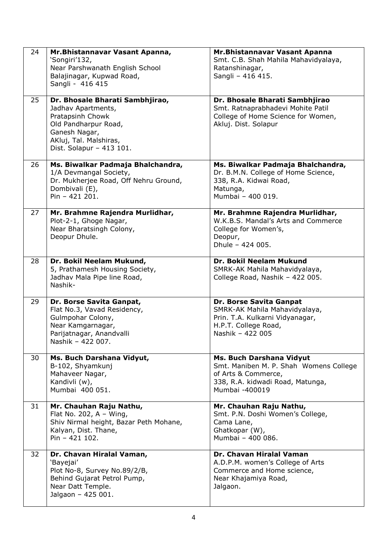| 24 | Mr. Bhistannavar Vasant Apanna,<br>'Songiri'132,<br>Near Parshwanath English School<br>Balajinagar, Kupwad Road,<br>Sangli - 416 415                                     | Mr. Bhistannavar Vasant Apanna<br>Smt. C.B. Shah Mahila Mahavidyalaya,<br>Ratanshinagar,<br>Sangli - 416 415.                                   |
|----|--------------------------------------------------------------------------------------------------------------------------------------------------------------------------|-------------------------------------------------------------------------------------------------------------------------------------------------|
| 25 | Dr. Bhosale Bharati Sambhjirao,<br>Jadhav Apartments,<br>Pratapsinh Chowk<br>Old Pandharpur Road,<br>Ganesh Nagar,<br>AKluj, Tal. Malshiras,<br>Dist. Solapur - 413 101. | Dr. Bhosale Bharati Sambhjirao<br>Smt. Ratnaprabhadevi Mohite Patil<br>College of Home Science for Women,<br>Akluj. Dist. Solapur               |
| 26 | Ms. Biwalkar Padmaja Bhalchandra,<br>1/A Devmangal Society,<br>Dr. Mukherjee Road, Off Nehru Ground,<br>Dombivali (E),<br>$Pin - 421201.$                                | Ms. Biwalkar Padmaja Bhalchandra,<br>Dr. B.M.N. College of Home Science,<br>338, R.A. Kidwai Road,<br>Matunga,<br>Mumbai - 400 019.             |
| 27 | Mr. Brahmne Rajendra Murlidhar,<br>Plot-2-1, Ghoge Nagar,<br>Near Bharatsingh Colony,<br>Deopur Dhule.                                                                   | Mr. Brahmne Rajendra Murlidhar,<br>W.K.B.S. Mandal's Arts and Commerce<br>College for Women's,<br>Deopur,<br>Dhule - 424 005.                   |
| 28 | Dr. Bokil Neelam Mukund,<br>5, Prathamesh Housing Society,<br>Jadhav Mala Pipe line Road,<br>Nashik-                                                                     | Dr. Bokil Neelam Mukund<br>SMRK-AK Mahila Mahavidyalaya,<br>College Road, Nashik - 422 005.                                                     |
| 29 | Dr. Borse Savita Ganpat,<br>Flat No.3, Vavad Residency,<br>Gulmpohar Colony,<br>Near Kamgarnagar,<br>Parijatnagar, Anandvalli<br>Nashik - 422 007.                       | Dr. Borse Savita Ganpat<br>SMRK-AK Mahila Mahavidyalaya,<br>Prin. T.A. Kulkarni Vidyanagar,<br>H.P.T. College Road,<br>Nashik - 422 005         |
| 30 | Ms. Buch Darshana Vidyut,<br>B-102, Shyamkunj<br>Mahaveer Nagar,<br>Kandivli (w),<br>Mumbai 400 051.                                                                     | Ms. Buch Darshana Vidyut<br>Smt. Maniben M. P. Shah Womens College<br>of Arts & Commerce,<br>338, R.A. kidwadi Road, Matunga,<br>Mumbai -400019 |
| 31 | Mr. Chauhan Raju Nathu,<br>Flat No. 202, $A - Wing$ ,<br>Shiv Nirmal height, Bazar Peth Mohane,<br>Kalyan, Dist. Thane,<br>Pin - 421 102.                                | Mr. Chauhan Raju Nathu,<br>Smt. P.N. Doshi Women's College,<br>Cama Lane,<br>Ghatkopar (W),<br>Mumbai - 400 086.                                |
| 32 | Dr. Chavan Hiralal Vaman,<br>'Bayejai'<br>Plot No-8, Survey No.89/2/B,<br>Behind Gujarat Petrol Pump,<br>Near Datt Temple.<br>Jalgaon - 425 001.                         | Dr. Chavan Hiralal Vaman<br>A.D.P.M. women's College of Arts<br>Commerce and Home science,<br>Near Khajamiya Road,<br>Jalgaon.                  |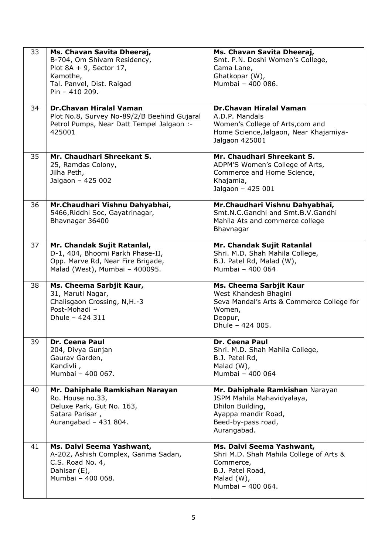| 33 | Ms. Chavan Savita Dheeraj,                  | Ms. Chavan Savita Dheeraj,                |
|----|---------------------------------------------|-------------------------------------------|
|    | B-704, Om Shivam Residency,                 | Smt. P.N. Doshi Women's College,          |
|    | Plot $8A + 9$ , Sector 17,                  | Cama Lane,                                |
|    | Kamothe,                                    | Ghatkopar (W),                            |
|    | Tal. Panvel, Dist. Raigad                   | Mumbai - 400 086.                         |
|    | Pin - 410 209.                              |                                           |
|    |                                             |                                           |
|    |                                             |                                           |
| 34 | Dr.Chavan Hiralal Vaman                     | Dr.Chavan Hiralal Vaman                   |
|    | Plot No.8, Survey No-89/2/B Beehind Gujaral | A.D.P. Mandals                            |
|    | Petrol Pumps, Near Datt Tempel Jalgaon :-   | Women's College of Arts, com and          |
|    | 425001                                      | Home Science, Jalgaon, Near Khajamiya-    |
|    |                                             | Jalgaon 425001                            |
|    |                                             |                                           |
| 35 | Mr. Chaudhari Shreekant S.                  | Mr. Chaudhari Shreekant S.                |
|    | 25, Ramdas Colony,                          | ADPM'S Women's College of Arts,           |
|    | Jilha Peth,                                 | Commerce and Home Science,                |
|    | Jalgaon - 425 002                           | Khajamia,                                 |
|    |                                             | Jalgaon - 425 001                         |
|    |                                             |                                           |
| 36 | Mr.Chaudhari Vishnu Dahyabhai,              | Mr.Chaudhari Vishnu Dahyabhai,            |
|    | 5466, Riddhi Soc, Gayatrinagar,             | Smt.N.C.Gandhi and Smt.B.V.Gandhi         |
|    | Bhavnagar 36400                             | Mahila Ats and commerce college           |
|    |                                             | Bhavnagar                                 |
|    |                                             |                                           |
| 37 | Mr. Chandak Sujit Ratanlal,                 | Mr. Chandak Sujit Ratanlal                |
|    | D-1, 404, Bhoomi Parkh Phase-II,            | Shri. M.D. Shah Mahila College,           |
|    | Opp. Marve Rd, Near Fire Brigade,           | B.J. Patel Rd, Malad (W),                 |
|    | Malad (West), Mumbai - 400095.              | Mumbai - 400 064                          |
|    |                                             |                                           |
| 38 | Ms. Cheema Sarbjit Kaur,                    | Ms. Cheema Sarbjit Kaur                   |
|    | 31, Maruti Nagar,                           | West Khandesh Bhagini                     |
|    | Chalisgaon Crossing, N, H.-3                | Seva Mandal's Arts & Commerce College for |
|    | Post-Mohadi -                               | Women,                                    |
|    | Dhule - 424 311                             | Deopur,                                   |
|    |                                             | Dhule - 424 005.                          |
|    |                                             |                                           |
| 39 | Dr. Ceena Paul                              | Dr. Ceena Paul                            |
|    | 204, Divya Gunjan                           | Shri. M.D. Shah Mahila College,           |
|    | Gaurav Garden,                              | B.J. Patel Rd,                            |
|    | Kandivli,                                   | Malad (W),                                |
|    | Mumbai - 400 067.                           | Mumbai - 400 064                          |
|    |                                             |                                           |
| 40 | Mr. Dahiphale Ramkishan Narayan             | Mr. Dahiphale Ramkishan Narayan           |
|    | Ro. House no.33,                            | JSPM Mahila Mahavidyalaya,                |
|    | Deluxe Park, Gut No. 163,                   | Dhilon Building,                          |
|    | Satara Parisar,                             | Ayappa mandir Road,                       |
|    | Aurangabad $-431804$ .                      | Beed-by-pass road,                        |
|    |                                             | Aurangabad.                               |
|    |                                             |                                           |
| 41 | Ms. Dalvi Seema Yashwant,                   | Ms. Dalvi Seema Yashwant,                 |
|    | A-202, Ashish Complex, Garima Sadan,        | Shri M.D. Shah Mahila College of Arts &   |
|    | C.S. Road No. 4,                            | Commerce,                                 |
|    | Dahisar (E),                                | B.J. Patel Road,                          |
|    | Mumbai - 400 068.                           | Malad (W),                                |
|    |                                             | Mumbai - 400 064.                         |
|    |                                             |                                           |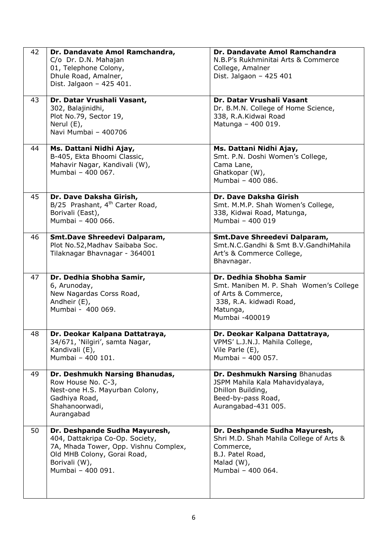| 42 | Dr. Dandavate Amol Ramchandra,<br>C/o Dr. D.N. Mahajan<br>01, Telephone Colony,<br>Dhule Road, Amalner,<br>Dist. Jalgaon - 425 401.                                            | Dr. Dandavate Amol Ramchandra<br>N.B.P's Rukhminitai Arts & Commerce<br>College, Amalner<br>Dist. Jalgaon - 425 401                                |
|----|--------------------------------------------------------------------------------------------------------------------------------------------------------------------------------|----------------------------------------------------------------------------------------------------------------------------------------------------|
| 43 | Dr. Datar Vrushali Vasant,<br>302, Balajinidhi,<br>Plot No.79, Sector 19,<br>Nerul (E),<br>Navi Mumbai - 400706                                                                | Dr. Datar Vrushali Vasant<br>Dr. B.M.N. College of Home Science,<br>338, R.A.Kidwai Road<br>Matunga - 400 019.                                     |
| 44 | Ms. Dattani Nidhi Ajay,<br>B-405, Ekta Bhoomi Classic,<br>Mahavir Nagar, Kandivali (W),<br>Mumbai - 400 067.                                                                   | Ms. Dattani Nidhi Ajay,<br>Smt. P.N. Doshi Women's College,<br>Cama Lane,<br>Ghatkopar (W),<br>Mumbai - 400 086.                                   |
| 45 | Dr. Dave Daksha Girish,<br>B/25 Prashant, 4 <sup>th</sup> Carter Road,<br>Borivali (East),<br>Mumbai - 400 066.                                                                | Dr. Dave Daksha Girish<br>Smt. M.M.P. Shah Women's College,<br>338, Kidwai Road, Matunga,<br>Mumbai - 400 019                                      |
| 46 | Smt.Dave Shreedevi Dalparam,<br>Plot No.52, Madhav Saibaba Soc.<br>Tilaknagar Bhavnagar - 364001                                                                               | Smt.Dave Shreedevi Dalparam,<br>Smt.N.C.Gandhi & Smt B.V.GandhiMahila<br>Art's & Commerce College,<br>Bhavnagar.                                   |
| 47 | Dr. Dedhia Shobha Samir,<br>6, Arunoday,<br>New Nagardas Corss Road,<br>Andheir (E),<br>Mumbai - 400 069.                                                                      | Dr. Dedhia Shobha Samir<br>Smt. Maniben M. P. Shah Women's College<br>of Arts & Commerce,<br>338, R.A. kidwadi Road,<br>Matunga,<br>Mumbai -400019 |
| 48 | Dr. Deokar Kalpana Dattatraya,<br>34/671, 'Nilgiri', samta Nagar,<br>Kandivali (E),<br>Mumbai - 400 101.                                                                       | Dr. Deokar Kalpana Dattatraya,<br>VPMS' L.J.N.J. Mahila College,<br>Vile Parle (E),<br>Mumbai - 400 057.                                           |
| 49 | Dr. Deshmukh Narsing Bhanudas,<br>Row House No. C-3,<br>Nest-one H.S. Mayurban Colony,<br>Gadhiya Road,<br>Shahanoorwadi,<br>Aurangabad                                        | Dr. Deshmukh Narsing Bhanudas<br>JSPM Mahila Kala Mahavidyalaya,<br>Dhillon Building,<br>Beed-by-pass Road,<br>Aurangabad-431 005.                 |
| 50 | Dr. Deshpande Sudha Mayuresh,<br>404, Dattakripa Co-Op. Society,<br>7A, Mhada Tower, Opp. Vishnu Complex,<br>Old MHB Colony, Gorai Road,<br>Borivali (W),<br>Mumbai - 400 091. | Dr. Deshpande Sudha Mayuresh,<br>Shri M.D. Shah Mahila College of Arts &<br>Commerce,<br>B.J. Patel Road,<br>Malad $(W)$ ,<br>Mumbai - 400 064.    |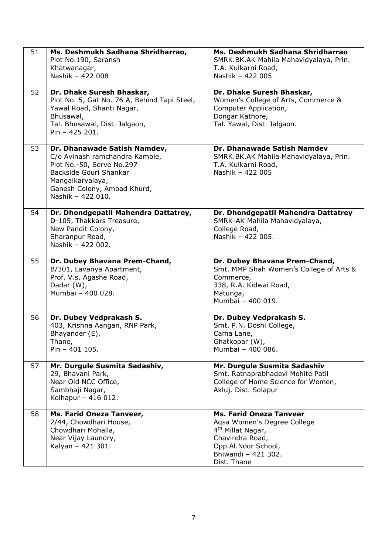| 51 | Ms. Deshmukh Sadhana Shridharrao,<br>Plot No.190, Saransh<br>Khatwanagar,<br>Nashik - 422 008                                                                                                 | Ms. Deshmukh Sadhana Shridharrao<br>SMRK.BK.AK Mahila Mahavidyalaya, Prin.<br>T.A. Kulkarni Road,<br>Nashik - 422 005                                                          |
|----|-----------------------------------------------------------------------------------------------------------------------------------------------------------------------------------------------|--------------------------------------------------------------------------------------------------------------------------------------------------------------------------------|
| 52 | Dr. Dhake Suresh Bhaskar,<br>Plot No. 5, Gat No. 76 A, Behind Tapi Steel,<br>Yawal Road, Shanti Nagar,<br>Bhusawal,<br>Tal. Bhusawal, Dist. Jalgaon,<br>$Pin - 425 201.$                      | Dr. Dhake Suresh Bhaskar,<br>Women's College of Arts, Commerce &<br>Computer Application,<br>Dongar Kathore,<br>Tal. Yawal, Dist. Jalgaon.                                     |
| 53 | Dr. Dhanawade Satish Namdev,<br>C/o Avinash ramchandra Kamble,<br>Plot No.-50, Serve No.297<br>Backside Gouri Shankar<br>Mangalkaryalaya,<br>Ganesh Colony, Ambad Khurd,<br>Nashik - 422 010. | Dr. Dhanawade Satish Namdev<br>SMRK.BK.AK Mahila Mahavidyalaya, Prin.<br>T.A. Kulkarni Road,<br>Nashik - 422 005                                                               |
| 54 | Dr. Dhondgepatil Mahendra Dattatrey,<br>D-105, Thakkars Treasure,<br>New Pandit Colony,<br>Sharanpur Road,<br>Nashik - 422 002.                                                               | Dr. Dhondgepatil Mahendra Dattatrey<br>SMRK-AK Mahila Mahavidyalaya,<br>College Road,<br>Nashik - 422 005.                                                                     |
| 55 | Dr. Dubey Bhavana Prem-Chand,<br>B/301, Lavanya Apartment,<br>Prof. V.s. Agashe Road,<br>Dadar (W),<br>Mumbai - 400 028.                                                                      | Dr. Dubey Bhavana Prem-Chand,<br>Smt. MMP Shah Women's College of Arts &<br>Commerce,<br>338, R.A. Kidwai Road,<br>Matunga,<br>Mumbai - 400 019.                               |
| 56 | Dr. Dubey Vedprakash S.<br>403, Krishna Aangan, RNP Park,<br>Bhayander (E),<br>Thane,<br>Pin - 401 105.                                                                                       | Dr. Dubey Vedprakash S.<br>Smt. P.N. Doshi College,<br>Cama Lane,<br>Ghatkopar (W),<br>Mumbai - 400 086.                                                                       |
| 57 | Mr. Durgule Susmita Sadashiv,<br>29, Bhavani Park,<br>Near Old NCC Office,<br>Sambhaji Nagar,<br>Kolhapur - 416 012.                                                                          | Mr. Durgule Susmita Sadashiv<br>Smt. Ratnaprabhadevi Mohite Patil<br>College of Home Science for Women,<br>Akluj. Dist. Solapur                                                |
| 58 | Ms. Farid Oneza Tanveer,<br>2/44, Chowdhari House,<br>Chowdhari Mohalla,<br>Near Vijay Laundry,<br>Kalyan - 421 301.                                                                          | <b>Ms. Farid Oneza Tanveer</b><br>Aqsa Women's Degree College<br>4 <sup>th</sup> Millat Nagar,<br>Chavindra Road,<br>Opp.Al.Noor School,<br>Bhiwandi - 421 302.<br>Dist. Thane |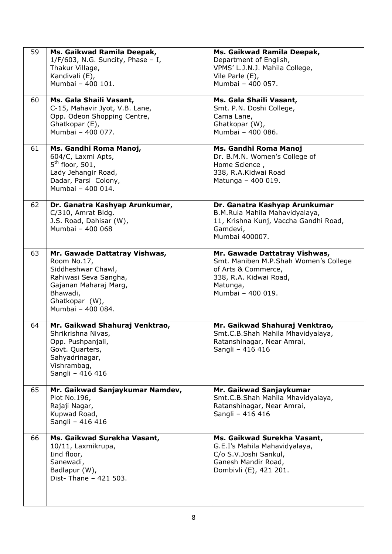| 59 | Ms. Gaikwad Ramila Deepak,<br>$1/F/603$ , N.G. Suncity, Phase - I, | Ms. Gaikwad Ramila Deepak,<br>Department of English,         |
|----|--------------------------------------------------------------------|--------------------------------------------------------------|
|    | Thakur Village,                                                    | VPMS' L.J.N.J. Mahila College,                               |
|    | Kandivali (E),<br>Mumbai - 400 101.                                | Vile Parle (E),<br>Mumbai - 400 057.                         |
| 60 | Ms. Gala Shaili Vasant,<br>C-15, Mahavir Jyot, V.B. Lane,          | Ms. Gala Shaili Vasant,<br>Smt. P.N. Doshi College,          |
|    | Opp. Odeon Shopping Centre,                                        | Cama Lane,                                                   |
|    | Ghatkopar (E),                                                     | Ghatkopar (W),                                               |
|    | Mumbai - 400 077.                                                  | Mumbai - 400 086.                                            |
| 61 | Ms. Gandhi Roma Manoj,                                             | Ms. Gandhi Roma Manoj                                        |
|    | 604/C, Laxmi Apts,                                                 | Dr. B.M.N. Women's College of                                |
|    | $5th$ floor, 501,<br>Lady Jehangir Road,                           | Home Science,<br>338, R.A.Kidwai Road                        |
|    | Dadar, Parsi Colony,                                               | Matunga - 400 019.                                           |
|    | Mumbai - 400 014.                                                  |                                                              |
| 62 | Dr. Ganatra Kashyap Arunkumar,                                     | Dr. Ganatra Kashyap Arunkumar                                |
|    | C/310, Amrat Bldg.                                                 | B.M.Ruia Mahila Mahavidyalaya,                               |
|    | J.S. Road, Dahisar (W),<br>Mumbai - 400 068                        | 11, Krishna Kunj, Vaccha Gandhi Road,<br>Gamdevi,            |
|    |                                                                    | Mumbai 400007.                                               |
|    |                                                                    |                                                              |
| 63 | Mr. Gawade Dattatray Vishwas,                                      | Mr. Gawade Dattatray Vishwas,                                |
|    | Room No.17,<br>Siddheshwar Chawl,                                  | Smt. Maniben M.P.Shah Women's College<br>of Arts & Commerce, |
|    | Rahiwasi Seva Sangha,                                              | 338, R.A. Kidwai Road,                                       |
|    | Gajanan Maharaj Marg,                                              | Matunga,                                                     |
|    | Bhawadi,                                                           | Mumbai - 400 019.                                            |
|    | Ghatkopar (W),                                                     |                                                              |
|    | Mumbai - 400 084.                                                  |                                                              |
| 64 | Mr. Gaikwad Shahuraj Venktrao,                                     | Mr. Gaikwad Shahuraj Venktrao,                               |
|    | Shrikrishna Nivas,                                                 | Smt.C.B.Shah Mahila Mhavidyalaya,                            |
|    | Opp. Pushpanjali,<br>Govt. Quarters,                               | Ratanshinagar, Near Amrai,<br>Sangli - 416 416               |
|    | Sahyadrinagar,                                                     |                                                              |
|    | Vishrambag,                                                        |                                                              |
|    | Sangli - 416 416                                                   |                                                              |
| 65 | Mr. Gaikwad Sanjaykumar Namdev,                                    | Mr. Gaikwad Sanjaykumar                                      |
|    | Plot No.196,                                                       | Smt.C.B.Shah Mahila Mhavidyalaya,                            |
|    | Rajaji Nagar,<br>Kupwad Road,                                      | Ratanshinagar, Near Amrai,<br>Sangli - 416 416               |
|    | Sangli - 416 416                                                   |                                                              |
|    |                                                                    |                                                              |
| 66 | Ms. Gaikwad Surekha Vasant,<br>10/11, Laxmikrupa,                  | Ms. Gaikwad Surekha Vasant,<br>G.E.I's Mahila Mahavidyalaya, |
|    | Iind floor,                                                        | C/o S.V.Joshi Sankul,                                        |
|    | Sanewadi,                                                          | Ganesh Mandir Road,                                          |
|    | Badlapur (W),                                                      | Dombivli (E), 421 201.                                       |
|    | Dist-Thane - 421 503.                                              |                                                              |
|    |                                                                    |                                                              |
|    |                                                                    |                                                              |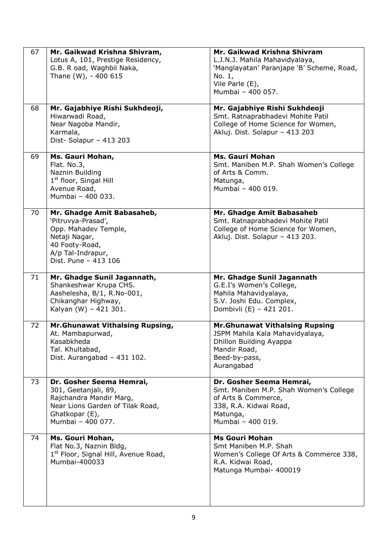| 67<br>68 | Mr. Gaikwad Krishna Shivram,<br>Lotus A, 101, Prestige Residency,<br>G.B. R oad, Waghbil Naka,<br>Thane (W), - 400 615<br>Mr. Gajabhiye Rishi Sukhdeoji,<br>Hiwarwadi Road,<br>Near Nagoba Mandir,<br>Karmala,<br>Dist- Solapur - 413 203 | Mr. Gaikwad Krishna Shivram<br>L.J.N.J. Mahila Mahavidyalaya,<br>'Manglayatan' Paranjape 'B' Scheme, Road,<br>No. 1,<br>Vile Parle (E),<br>Mumbai - 400 057.<br>Mr. Gajabhiye Rishi Sukhdeoji<br>Smt. Ratnaprabhadevi Mohite Patil<br>College of Home Science for Women,<br>Akluj. Dist. Solapur - 413 203 |
|----------|-------------------------------------------------------------------------------------------------------------------------------------------------------------------------------------------------------------------------------------------|------------------------------------------------------------------------------------------------------------------------------------------------------------------------------------------------------------------------------------------------------------------------------------------------------------|
| 69       | Ms. Gauri Mohan,<br>Flat. No.3,<br>Naznin Building<br>1 <sup>st</sup> floor, Singal Hill<br>Avenue Road,<br>Mumbai - 400 033.                                                                                                             | <b>Ms. Gauri Mohan</b><br>Smt. Maniben M.P. Shah Women's College<br>of Arts & Comm.<br>Matunga,<br>Mumbai - 400 019.                                                                                                                                                                                       |
| 70       | Mr. Ghadge Amit Babasaheb,<br>'Pitruvya-Prasad',<br>Opp. Mahadev Temple,<br>Netaji Nagar,<br>40 Footy-Road,<br>A/p Tal-Indrapur,<br>Dist. Pune - 413 106                                                                                  | Mr. Ghadge Amit Babasaheb<br>Smt. Ratnaprabhadevi Mohite Patil<br>College of Home Science for Women,<br>Akluj. Dist. Solapur - 413 203.                                                                                                                                                                    |
| 71       | Mr. Ghadge Sunil Jagannath,<br>Shankeshwar Krupa CHS.<br>Aashelesha, B/1, R.No-001,<br>Chikanghar Highway,<br>Kalyan (W) - 421 301.                                                                                                       | Mr. Ghadge Sunil Jagannath<br>G.E.I's Women's College,<br>Mahila Mahavidyalaya,<br>S.V. Joshi Edu. Complex,<br>Dombivli (E) - 421 201.                                                                                                                                                                     |
| 72       | Mr. Ghunawat Vithalsing Rupsing,<br>At. Mambapurwad,<br>Kasabkheda<br>Tal. Khultabad,<br>Dist. Aurangabad - 431 102.                                                                                                                      | <b>Mr.Ghunawat Vithalsing Rupsing</b><br>JSPM Mahila Kala Mahavidyalaya,<br>Dhillon Building Ayappa<br>Mandir Road,<br>Beed-by-pass,<br>Aurangabad                                                                                                                                                         |
| 73       | Dr. Gosher Seema Hemrai,<br>301, Geetanjali, 89,<br>Rajchandra Mandir Marg,<br>Near Lions Garden of Tilak Road,<br>Ghatkopar (E),<br>Mumbai - 400 077.                                                                                    | Dr. Gosher Seema Hemrai,<br>Smt. Maniben M.P. Shah Women's College<br>of Arts & Commerce,<br>338, R.A. Kidwai Road,<br>Matunga,<br>Mumbai - 400 019.                                                                                                                                                       |
| 74       | Ms. Gouri Mohan,<br>Flat No.3, Naznin Bldg,<br>1 <sup>st</sup> Floor, Signal Hill, Avenue Road,<br>Mumbai-400033                                                                                                                          | <b>Ms Gouri Mohan</b><br>Smt Maniben M.P. Shah<br>Women's College Of Arts & Commerce 338,<br>R.A. Kidwai Road,<br>Matunga Mumbai- 400019                                                                                                                                                                   |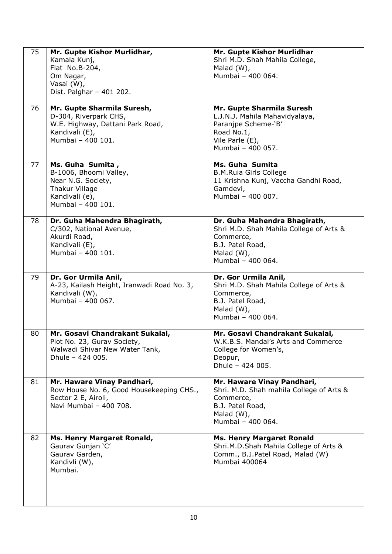| 75 | Mr. Gupte Kishor Murlidhar,<br>Kamala Kunj,<br>Flat No.B-204,<br>Om Nagar,<br>Vasai (W),<br>Dist. Palghar - 401 202.             | Mr. Gupte Kishor Murlidhar<br>Shri M.D. Shah Mahila College,<br>Malad (W),<br>Mumbai - 400 064.                                             |
|----|----------------------------------------------------------------------------------------------------------------------------------|---------------------------------------------------------------------------------------------------------------------------------------------|
| 76 | Mr. Gupte Sharmila Suresh,<br>D-304, Riverpark CHS,<br>W.E. Highway, Dattani Park Road,<br>Kandivali (E),<br>Mumbai - 400 101.   | Mr. Gupte Sharmila Suresh<br>L.J.N.J. Mahila Mahavidyalaya,<br>Paranjpe Scheme-'B'<br>Road No.1,<br>Vile Parle (E),<br>Mumbai - 400 057.    |
| 77 | Ms. Guha Sumita,<br>B-1006, Bhoomi Valley,<br>Near N.G. Society,<br><b>Thakur Village</b><br>Kandivali (e),<br>Mumbai - 400 101. | Ms. Guha Sumita<br><b>B.M.Ruia Girls College</b><br>11 Krishna Kunj, Vaccha Gandhi Road,<br>Gamdevi,<br>Mumbai - 400 007.                   |
| 78 | Dr. Guha Mahendra Bhagirath,<br>C/302, National Avenue,<br>Akurdi Road,<br>Kandivali (E),<br>Mumbai - 400 101.                   | Dr. Guha Mahendra Bhagirath,<br>Shri M.D. Shah Mahila College of Arts &<br>Commerce,<br>B.J. Patel Road,<br>Malad (W),<br>Mumbai - 400 064. |
| 79 | Dr. Gor Urmila Anil,<br>A-23, Kailash Height, Iranwadi Road No. 3,<br>Kandivali (W),<br>Mumbai - 400 067.                        | Dr. Gor Urmila Anil,<br>Shri M.D. Shah Mahila College of Arts &<br>Commerce,<br>B.J. Patel Road,<br>Malad (W),<br>Mumbai - 400 064.         |
| 80 | Mr. Gosavi Chandrakant Sukalal,<br>Plot No. 23, Gurav Society,<br>Walwadi Shivar New Water Tank,<br>Dhule - 424 005.             | Mr. Gosavi Chandrakant Sukalal,<br>W.K.B.S. Mandal's Arts and Commerce<br>College for Women's,<br>Deopur,<br>Dhule - 424 005.               |
| 81 | Mr. Haware Vinay Pandhari,<br>Row House No. 6, Good Housekeeping CHS.,<br>Sector 2 E, Airoli,<br>Navi Mumbai - 400 708.          | Mr. Haware Vinay Pandhari,<br>Shri. M.D. Shah mahila College of Arts &<br>Commerce,<br>B.J. Patel Road,<br>Malad (W),<br>Mumbai - 400 064.  |
| 82 | Ms. Henry Margaret Ronald,<br>Gaurav Gunjan 'C'<br>Gaurav Garden,<br>Kandivli (W),<br>Mumbai.                                    | <b>Ms. Henry Margaret Ronald</b><br>Shri.M.D.Shah Mahila College of Arts &<br>Comm., B.J.Patel Road, Malad (W)<br>Mumbai 400064             |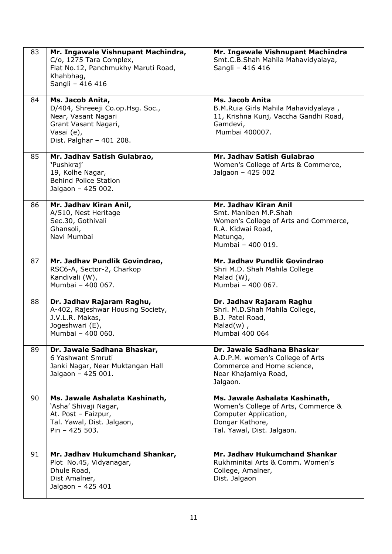| 83 | Mr. Ingawale Vishnupant Machindra,<br>C/o, 1275 Tara Complex,<br>Flat No.12, Panchmukhy Maruti Road,<br>Khahbhag,<br>Sangli - 416 416         | Mr. Ingawale Vishnupant Machindra<br>Smt.C.B.Shah Mahila Mahavidyalaya,<br>Sangli - 416 416                                                     |
|----|-----------------------------------------------------------------------------------------------------------------------------------------------|-------------------------------------------------------------------------------------------------------------------------------------------------|
| 84 | Ms. Jacob Anita,<br>D/404, Shreeeji Co.op.Hsg. Soc.,<br>Near, Vasant Nagari<br>Grant Vasant Nagari,<br>Vasai (e),<br>Dist. Palghar - 401 208. | <b>Ms. Jacob Anita</b><br>B.M.Ruia Girls Mahila Mahavidyalaya,<br>11, Krishna Kunj, Vaccha Gandhi Road,<br>Gamdevi,<br>Mumbai 400007.           |
| 85 | Mr. Jadhav Satish Gulabrao,<br>'Pushkraj'<br>19, Kolhe Nagar,<br><b>Behind Police Station</b><br>Jalgaon - 425 002.                           | Mr. Jadhav Satish Gulabrao<br>Women's College of Arts & Commerce,<br>Jalgaon - 425 002                                                          |
| 86 | Mr. Jadhav Kiran Anil,<br>A/510, Nest Heritage<br>Sec.30, Gothivali<br>Ghansoli,<br>Navi Mumbai                                               | Mr. Jadhav Kiran Anil<br>Smt. Maniben M.P.Shah<br>Women's College of Arts and Commerce,<br>R.A. Kidwai Road,<br>Matunga,<br>Mumbai - 400 019.   |
| 87 | Mr. Jadhav Pundlik Govindrao,<br>RSC6-A, Sector-2, Charkop<br>Kandivali (W),<br>Mumbai - 400 067.                                             | Mr. Jadhav Pundlik Govindrao<br>Shri M.D. Shah Mahila College<br>Malad (W),<br>Mumbai - 400 067.                                                |
| 88 | Dr. Jadhav Rajaram Raghu,<br>A-402, Rajeshwar Housing Society,<br>J.V.L.R. Makas,<br>Jogeshwari (E),<br>Mumbai - 400 060.                     | Dr. Jadhav Rajaram Raghu<br>Shri. M.D.Shah Mahila College,<br>B.J. Patel Road,<br>Malad $(w)$ ,<br>Mumbai 400 064                               |
| 89 | Dr. Jawale Sadhana Bhaskar,<br>6 Yashwant Smruti<br>Janki Nagar, Near Muktangan Hall<br>Jalgaon - 425 001.                                    | Dr. Jawale Sadhana Bhaskar<br>A.D.P.M. women's College of Arts<br>Commerce and Home science,<br>Near Khajamiya Road,<br>Jalgaon.                |
| 90 | Ms. Jawale Ashalata Kashinath,<br>'Asha' Shivaji Nagar,<br>At. Post - Faizpur,<br>Tal. Yawal, Dist. Jalgaon,<br>Pin - 425 503.                | Ms. Jawale Ashalata Kashinath,<br>Women's College of Arts, Commerce &<br>Computer Application,<br>Dongar Kathore,<br>Tal. Yawal, Dist. Jalgaon. |
| 91 | Mr. Jadhav Hukumchand Shankar,<br>Plot No.45, Vidyanagar,<br>Dhule Road,<br>Dist Amalner,<br>Jalgaon - 425 401                                | Mr. Jadhav Hukumchand Shankar<br>Rukhminitai Arts & Comm. Women's<br>College, Amalner,<br>Dist. Jalgaon                                         |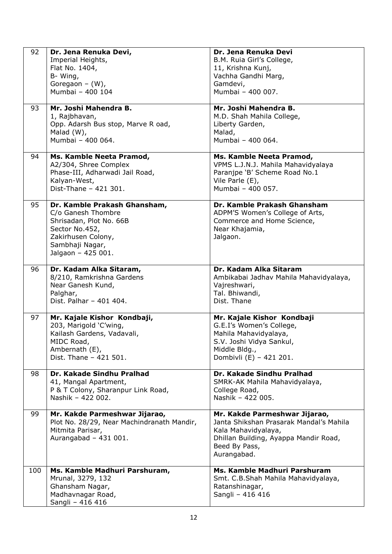| 92  | Dr. Jena Renuka Devi,<br>Imperial Heights,                     | Dr. Jena Renuka Devi<br>B.M. Ruia Girl's College,              |
|-----|----------------------------------------------------------------|----------------------------------------------------------------|
|     | Flat No. 1404,                                                 | 11, Krishna Kunj,                                              |
|     | B-Wing,                                                        | Vachha Gandhi Marg,                                            |
|     | Goregaon $-$ (W),<br>Mumbai - 400 104                          | Gamdevi,<br>Mumbai - 400 007.                                  |
|     |                                                                |                                                                |
| 93  | Mr. Joshi Mahendra B.<br>1, Rajbhavan,                         | Mr. Joshi Mahendra B.<br>M.D. Shah Mahila College,             |
|     | Opp. Adarsh Bus stop, Marve R oad,                             | Liberty Garden,                                                |
|     | Malad (W),                                                     | Malad,                                                         |
|     | Mumbai - 400 064.                                              | Mumbai - 400 064.                                              |
| 94  | Ms. Kamble Neeta Pramod,                                       | Ms. Kamble Neeta Pramod,                                       |
|     | A2/304, Shree Complex                                          | VPMS L.J.N.J. Mahila Mahavidyalaya                             |
|     | Phase-III, Adharwadi Jail Road,<br>Kalyan-West,                | Paranjpe 'B' Scheme Road No.1<br>Vile Parle (E),               |
|     | Dist-Thane - 421 301.                                          | Mumbai - 400 057.                                              |
|     |                                                                |                                                                |
| 95  | Dr. Kamble Prakash Ghansham,<br>C/o Ganesh Thombre             | Dr. Kamble Prakash Ghansham<br>ADPM'S Women's College of Arts, |
|     | Shrisadan, Plot No. 66B                                        | Commerce and Home Science,                                     |
|     | Sector No.452,                                                 | Near Khajamia,                                                 |
|     | Zakirhusen Colony,                                             | Jalgaon.                                                       |
|     | Sambhaji Nagar,<br>Jalgaon - 425 001.                          |                                                                |
|     |                                                                |                                                                |
| 96  | Dr. Kadam Alka Sitaram,                                        | Dr. Kadam Alka Sitaram                                         |
|     | 8/210, Ramkrishna Gardens<br>Near Ganesh Kund,                 | Ambikabai Jadhav Mahila Mahavidyalaya,<br>Vajreshwari,         |
|     | Palghar,                                                       | Tal. Bhiwandi,                                                 |
|     | Dist. Palhar - 401 404.                                        | Dist. Thane                                                    |
| 97  | Mr. Kajale Kishor Kondbaji,                                    | Mr. Kajale Kishor Kondbaji                                     |
|     | 203, Marigold 'C'wing,                                         | G.E.I's Women's College,                                       |
|     | Kailash Gardens, Vadavali,<br>MIDC Road,                       | Mahila Mahavidyalaya,<br>S.V. Joshi Vidya Sankul,              |
|     | Ambernath (E),                                                 | Middle Bldg.,                                                  |
|     | Dist. Thane - 421 501.                                         | Dombivli (E) - 421 201.                                        |
| 98  | Dr. Kakade Sindhu Pralhad                                      | Dr. Kakade Sindhu Pralhad                                      |
|     | 41, Mangal Apartment,                                          | SMRK-AK Mahila Mahavidyalaya,                                  |
|     | P & T Colony, Sharanpur Link Road,                             | College Road,                                                  |
|     | Nashik - 422 002.                                              | Nashik - 422 005.                                              |
| 99  | Mr. Kakde Parmeshwar Jijarao,                                  | Mr. Kakde Parmeshwar Jijarao,                                  |
|     | Plot No. 28/29, Near Machindranath Mandir,<br>Mitmita Parisar, | Janta Shikshan Prasarak Mandal's Mahila<br>Kala Mahavidyalaya, |
|     | Aurangabad $-431001$ .                                         | Dhillan Building, Ayappa Mandir Road,                          |
|     |                                                                | Beed By Pass,                                                  |
|     |                                                                | Aurangabad.                                                    |
| 100 | Ms. Kamble Madhuri Parshuram,                                  | Ms. Kamble Madhuri Parshuram                                   |
|     | Mrunal, 3279, 132                                              | Smt. C.B.Shah Mahila Mahavidyalaya,                            |
|     | Ghansham Nagar,<br>Madhavnagar Road,                           | Ratanshinagar,<br>Sangli - 416 416                             |
|     | Sangli - 416 416                                               |                                                                |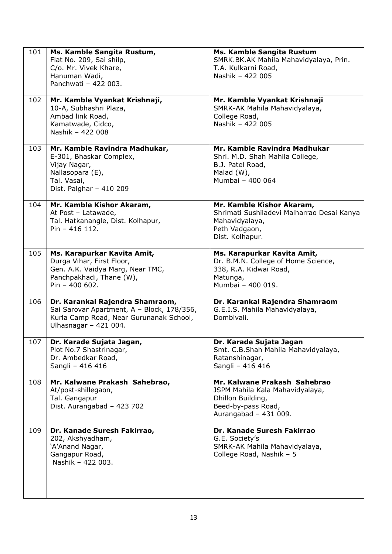| 101 | Ms. Kamble Sangita Rustum,<br>Flat No. 209, Sai shilp,<br>C/o. Mr. Vivek Khare,<br>Hanuman Wadi,<br>Panchwati - 422 003.                           | Ms. Kamble Sangita Rustum<br>SMRK.BK.AK Mahila Mahavidyalaya, Prin.<br>T.A. Kulkarni Road,<br>Nashik - 422 005                       |
|-----|----------------------------------------------------------------------------------------------------------------------------------------------------|--------------------------------------------------------------------------------------------------------------------------------------|
| 102 | Mr. Kamble Vyankat Krishnaji,<br>10-A, Subhashri Plaza,<br>Ambad link Road,<br>Kamatwade, Cidco,<br>Nashik - 422 008                               | Mr. Kamble Vyankat Krishnaji<br>SMRK-AK Mahila Mahavidyalaya,<br>College Road,<br>Nashik - 422 005                                   |
| 103 | Mr. Kamble Ravindra Madhukar,<br>E-301, Bhaskar Complex,<br>Vijay Nagar,<br>Nallasopara (E),<br>Tal. Vasai,<br>Dist. Palghar - 410 209             | Mr. Kamble Ravindra Madhukar<br>Shri. M.D. Shah Mahila College,<br>B.J. Patel Road,<br>Malad (W),<br>Mumbai - 400 064                |
| 104 | Mr. Kamble Kishor Akaram,<br>At Post - Latawade,<br>Tal. Hatkanangle, Dist. Kolhapur,<br>Pin - 416 112.                                            | Mr. Kamble Kishor Akaram,<br>Shrimati Sushiladevi Malharrao Desai Kanya<br>Mahavidyalaya,<br>Peth Vadgaon,<br>Dist. Kolhapur.        |
| 105 | Ms. Karapurkar Kavita Amit,<br>Durga Vihar, First Floor,<br>Gen. A.K. Vaidya Marg, Near TMC,<br>Panchpakhadi, Thane (W),<br>Pin - 400 602.         | Ms. Karapurkar Kavita Amit,<br>Dr. B.M.N. College of Home Science,<br>338, R.A. Kidwai Road,<br>Matunga,<br>Mumbai - 400 019.        |
| 106 | Dr. Karankal Rajendra Shamraom,<br>Sai Sarovar Apartment, A - Block, 178/356,<br>Kurla Camp Road, Near Gurunanak School,<br>Ulhasnagar $-421004$ . | Dr. Karankal Rajendra Shamraom<br>G.E.I.S. Mahila Mahavidyalaya,<br>Dombivali.                                                       |
| 107 | Dr. Karade Sujata Jagan,<br>Plot No.7 Shastrinagar,<br>Dr. Ambedkar Road,<br>Sangli - 416 416                                                      | Dr. Karade Sujata Jagan<br>Smt. C.B.Shah Mahila Mahavidyalaya,<br>Ratanshinagar,<br>Sangli - 416 416                                 |
| 108 | Mr. Kalwane Prakash Sahebrao,<br>At/post-shillegaon,<br>Tal. Gangapur<br>Dist. Aurangabad - 423 702                                                | Mr. Kalwane Prakash Sahebrao<br>JSPM Mahila Kala Mahavidyalaya,<br>Dhillon Building,<br>Beed-by-pass Road,<br>Aurangabad $-431009$ . |
| 109 | Dr. Kanade Suresh Fakirrao,<br>202, Akshyadham,<br>'A'Anand Nagar,<br>Gangapur Road,<br>Nashik - 422 003.                                          | Dr. Kanade Suresh Fakirrao<br>G.E. Society's<br>SMRK-AK Mahila Mahavidyalaya,<br>College Road, Nashik - 5                            |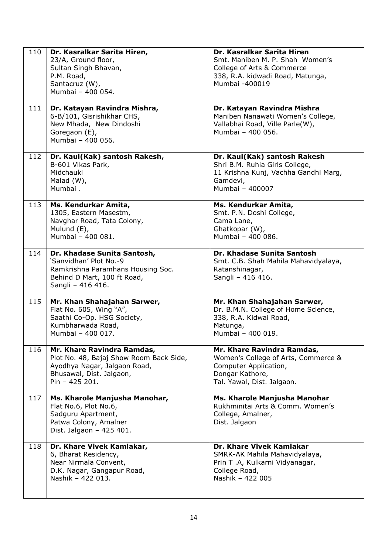| 110 | Dr. Kasralkar Sarita Hiren,<br>23/A, Ground floor,<br>Sultan Singh Bhavan,<br>P.M. Road,                                                            | Dr. Kasralkar Sarita Hiren<br>Smt. Maniben M. P. Shah Women's<br>College of Arts & Commerce<br>338, R.A. kidwadi Road, Matunga,             |
|-----|-----------------------------------------------------------------------------------------------------------------------------------------------------|---------------------------------------------------------------------------------------------------------------------------------------------|
|     | Santacruz (W),<br>Mumbai - 400 054.                                                                                                                 | Mumbai -400019                                                                                                                              |
| 111 | Dr. Katayan Ravindra Mishra,<br>6-B/101, Gisrishikhar CHS,<br>New Mhada, New Dindoshi<br>Goregaon (E),<br>Mumbai - 400 056.                         | Dr. Katayan Ravindra Mishra<br>Maniben Nanawati Women's College,<br>Vallabhai Road, Ville Parle(W),<br>Mumbai - 400 056.                    |
| 112 | Dr. Kaul(Kak) santosh Rakesh,<br>B-601 Vikas Park,<br>Midchauki<br>Malad (W),<br>Mumbai.                                                            | Dr. Kaul(Kak) santosh Rakesh<br>Shri B.M. Ruhia Girls College,<br>11 Krishna Kunj, Vachha Gandhi Marg,<br>Gamdevi,<br>Mumbai - 400007       |
| 113 | Ms. Kendurkar Amita,<br>1305, Eastern Masestm,<br>Navghar Road, Tata Colony,<br>Mulund (E),<br>Mumbai - 400 081.                                    | Ms. Kendurkar Amita,<br>Smt. P.N. Doshi College,<br>Cama Lane,<br>Ghatkopar (W),<br>Mumbai - 400 086.                                       |
| 114 | Dr. Khadase Sunita Santosh,<br>'Sanvidhan' Plot No.-9<br>Ramkrishna Paramhans Housing Soc.<br>Behind D Mart, 100 ft Road,<br>Sangli - 416 416.      | Dr. Khadase Sunita Santosh<br>Smt. C.B. Shah Mahila Mahavidyalaya,<br>Ratanshinagar,<br>Sangli - 416 416.                                   |
| 115 | Mr. Khan Shahajahan Sarwer,<br>Flat No. 605, Wing "A",<br>Saathi Co-Op. HSG Society,<br>Kumbharwada Road,<br>Mumbai - 400 017.                      | Mr. Khan Shahajahan Sarwer,<br>Dr. B.M.N. College of Home Science,<br>338, R.A. Kidwai Road,<br>Matunga,<br>Mumbai - 400 019.               |
| 116 | Mr. Khare Ravindra Ramdas,<br>Plot No. 48, Bajaj Show Room Back Side,<br>Ayodhya Nagar, Jalgaon Road,<br>Bhusawal, Dist. Jalgaon,<br>Pin - 425 201. | Mr. Khare Ravindra Ramdas,<br>Women's College of Arts, Commerce &<br>Computer Application,<br>Dongar Kathore,<br>Tal. Yawal, Dist. Jalgaon. |
| 117 | Ms. Kharole Manjusha Manohar,<br>Flat No.6, Plot No.6,<br>Sadguru Apartment,<br>Patwa Colony, Amalner<br>Dist. Jalgaon - 425 401.                   | Ms. Kharole Manjusha Manohar<br>Rukhminitai Arts & Comm. Women's<br>College, Amalner,<br>Dist. Jalgaon                                      |
| 118 | Dr. Khare Vivek Kamlakar,<br>6, Bharat Residency,<br>Near Nirmala Convent,<br>D.K. Nagar, Gangapur Road,<br>Nashik - 422 013.                       | <b>Dr. Khare Vivek Kamlakar</b><br>SMRK-AK Mahila Mahavidyalaya,<br>Prin T.A, Kulkarni Vidyanagar,<br>College Road,<br>Nashik - 422 005     |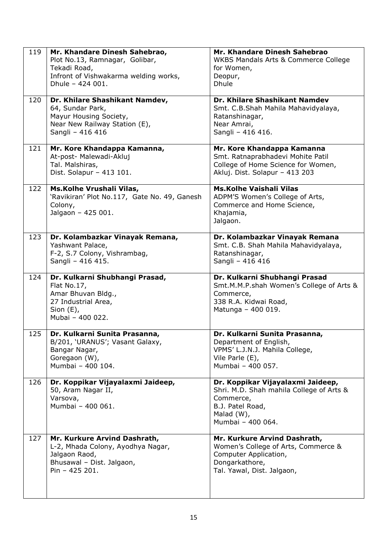| 119 | Mr. Khandare Dinesh Sahebrao,<br>Plot No.13, Ramnagar, Golibar,<br>Tekadi Road,<br>Infront of Vishwakarma welding works,<br>Dhule - 424 001. | Mr. Khandare Dinesh Sahebrao<br><b>WKBS Mandals Arts &amp; Commerce College</b><br>for Women,<br>Deopur,<br><b>Dhule</b>                          |
|-----|----------------------------------------------------------------------------------------------------------------------------------------------|---------------------------------------------------------------------------------------------------------------------------------------------------|
| 120 | Dr. Khilare Shashikant Namdev,<br>64, Sundar Park,<br>Mayur Housing Society,<br>Near New Railway Station (E),<br>Sangli - 416 416            | Dr. Khilare Shashikant Namdev<br>Smt. C.B.Shah Mahila Mahavidyalaya,<br>Ratanshinagar,<br>Near Amrai,<br>Sangli - 416 416.                        |
| 121 | Mr. Kore Khandappa Kamanna,<br>At-post- Malewadi-Akluj<br>Tal. Malshiras,<br>Dist. Solapur - 413 101.                                        | Mr. Kore Khandappa Kamanna<br>Smt. Ratnaprabhadevi Mohite Patil<br>College of Home Science for Women,<br>Akluj. Dist. Solapur - 413 203           |
| 122 | Ms.Kolhe Vrushali Vilas,<br>'Ravikiran' Plot No.117, Gate No. 49, Ganesh<br>Colony,<br>Jalgaon - 425 001.                                    | Ms.Kolhe Vaishali Vilas<br>ADPM'S Women's College of Arts,<br>Commerce and Home Science,<br>Khajamia,<br>Jalgaon.                                 |
| 123 | Dr. Kolambazkar Vinayak Remana,<br>Yashwant Palace,<br>F-2, S.7 Colony, Vishrambag,<br>Sangli - 416 415.                                     | Dr. Kolambazkar Vinayak Remana<br>Smt. C.B. Shah Mahila Mahavidyalaya,<br>Ratanshinagar,<br>Sangli - 416 416                                      |
| 124 | Dr. Kulkarni Shubhangi Prasad,<br>Flat No.17,<br>Amar Bhuvan Bldg.,<br>27 Industrial Area,                                                   | Dr. Kulkarni Shubhangi Prasad<br>Smt.M.M.P.shah Women's College of Arts &<br>Commerce,                                                            |
|     | Sion $(E)$ ,<br>Mubai - 400 022.                                                                                                             | 338 R.A. Kidwai Road,<br>Matunga - 400 019.                                                                                                       |
| 125 | Dr. Kulkarni Sunita Prasanna,<br>B/201, 'URANUS'; Vasant Galaxy,<br>Bangar Nagar,<br>Goregaon (W),<br>Mumbai - 400 104.                      | Dr. Kulkarni Sunita Prasanna,<br>Department of English,<br>VPMS' L.J.N.J. Mahila College,<br>Vile Parle (E),<br>Mumbai - 400 057.                 |
| 126 | Dr. Koppikar Vijayalaxmi Jaideep,<br>50, Aram Nagar II,<br>Varsova,<br>Mumbai - 400 061.                                                     | Dr. Koppikar Vijayalaxmi Jaideep,<br>Shri. M.D. Shah mahila College of Arts &<br>Commerce,<br>B.J. Patel Road,<br>Malad (W),<br>Mumbai - 400 064. |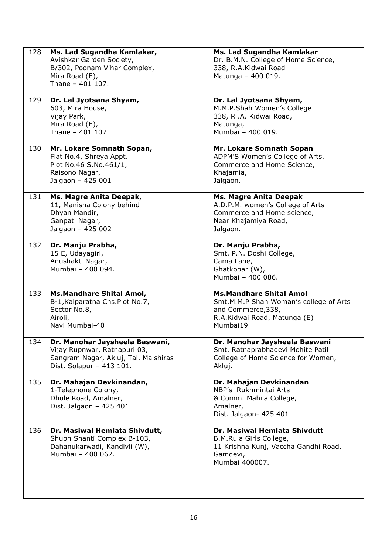| 128 | Ms. Lad Sugandha Kamlakar,<br>Avishkar Garden Society,<br>B/302, Poonam Vihar Complex,<br>Mira Road (E),<br>Thane - 401 107.       | Ms. Lad Sugandha Kamlakar<br>Dr. B.M.N. College of Home Science,<br>338, R.A.Kidwai Road<br>Matunga - 400 019.                             |
|-----|------------------------------------------------------------------------------------------------------------------------------------|--------------------------------------------------------------------------------------------------------------------------------------------|
| 129 | Dr. Lal Jyotsana Shyam,<br>603, Mira House,<br>Vijay Park,<br>Mira Road (E),<br>Thane - 401 107                                    | Dr. Lal Jyotsana Shyam,<br>M.M.P.Shah Women's College<br>338, R.A. Kidwai Road,<br>Matunga,<br>Mumbai - 400 019.                           |
| 130 | Mr. Lokare Somnath Sopan,<br>Flat No.4, Shreya Appt.<br>Plot No.46 S.No.461/1,<br>Raisono Nagar,<br>Jalgaon - 425 001              | Mr. Lokare Somnath Sopan<br>ADPM'S Women's College of Arts,<br>Commerce and Home Science,<br>Khajamia,<br>Jalgaon.                         |
| 131 | Ms. Magre Anita Deepak,<br>11, Manisha Colony behind<br>Dhyan Mandir,<br>Ganpati Nagar,<br>Jalgaon - 425 002                       | Ms. Magre Anita Deepak<br>A.D.P.M. women's College of Arts<br>Commerce and Home science,<br>Near Khajamiya Road,<br>Jalgaon.               |
| 132 | Dr. Manju Prabha,<br>15 E, Udayagiri,<br>Anushakti Nagar,<br>Mumbai - 400 094.                                                     | Dr. Manju Prabha,<br>Smt. P.N. Doshi College,<br>Cama Lane,<br>Ghatkopar (W),<br>Mumbai - 400 086.                                         |
| 133 | <b>Ms.Mandhare Shital Amol,</b><br>B-1, Kalparatna Chs. Plot No. 7,<br>Sector No.8,<br>Airoli,<br>Navi Mumbai-40                   | <b>Ms.Mandhare Shital Amol</b><br>Smt.M.M.P Shah Woman's college of Arts<br>and Commerce, 338,<br>R.A.Kidwai Road, Matunga (E)<br>Mumbai19 |
| 134 | Dr. Manohar Jaysheela Baswani,<br>Vijay Rupnwar, Ratnapuri 03,<br>Sangram Nagar, Akluj, Tal. Malshiras<br>Dist. Solapur - 413 101. | Dr. Manohar Jaysheela Baswani<br>Smt. Ratnaprabhadevi Mohite Patil<br>College of Home Science for Women,<br>Akluj.                         |
| 135 | Dr. Mahajan Devkinandan,<br>1-Telephone Colony,<br>Dhule Road, Amalner,<br>Dist. Jalgaon - 425 401                                 | Dr. Mahajan Devkinandan<br>NBP's Rukhmintai Arts<br>& Comm. Mahila College,<br>Amalner,<br>Dist. Jalgaon- 425 401                          |
| 136 | Dr. Masiwal Hemlata Shivdutt,<br>Shubh Shanti Complex B-103,<br>Dahanukarwadi, Kandivli (W),<br>Mumbai - 400 067.                  | Dr. Masiwal Hemlata Shivdutt<br>B.M.Ruia Girls College,<br>11 Krishna Kunj, Vaccha Gandhi Road,<br>Gamdevi,<br>Mumbai 400007.              |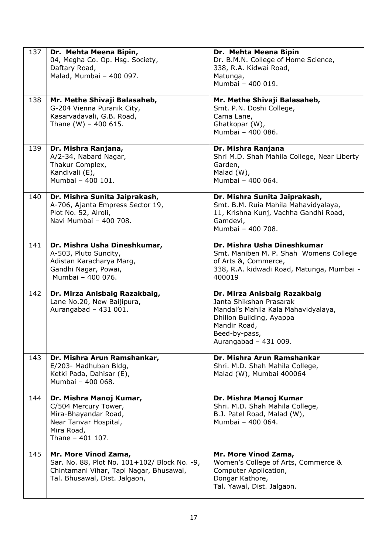| 137 | Dr. Mehta Meena Bipin,<br>04, Megha Co. Op. Hsg. Society,<br>Daftary Road,<br>Malad, Mumbai - 400 097.                                           | Dr. Mehta Meena Bipin<br>Dr. B.M.N. College of Home Science,<br>338, R.A. Kidwai Road,<br>Matunga,<br>Mumbai - 400 019.                                                              |
|-----|--------------------------------------------------------------------------------------------------------------------------------------------------|--------------------------------------------------------------------------------------------------------------------------------------------------------------------------------------|
| 138 | Mr. Methe Shivaji Balasaheb,<br>G-204 Vienna Puranik City,<br>Kasarvadavali, G.B. Road,<br>Thane (W) - 400 615.                                  | Mr. Methe Shivaji Balasaheb,<br>Smt. P.N. Doshi College,<br>Cama Lane,<br>Ghatkopar (W),<br>Mumbai - 400 086.                                                                        |
| 139 | Dr. Mishra Ranjana,<br>A/2-34, Nabard Nagar,<br>Thakur Complex,<br>Kandivali (E),<br>Mumbai - 400 101.                                           | Dr. Mishra Ranjana<br>Shri M.D. Shah Mahila College, Near Liberty<br>Garden,<br>Malad (W),<br>Mumbai - 400 064.                                                                      |
| 140 | Dr. Mishra Sunita Jaiprakash,<br>A-706, Ajanta Empress Sector 19,<br>Plot No. 52, Airoli,<br>Navi Mumbai - 400 708.                              | Dr. Mishra Sunita Jaiprakash,<br>Smt. B.M. Ruia Mahila Mahavidyalaya,<br>11, Krishna Kunj, Vachha Gandhi Road,<br>Gamdevi,<br>Mumbai - 400 708.                                      |
| 141 | Dr. Mishra Usha Dineshkumar,<br>A-503, Pluto Suncity,<br>Adistan Karacharya Marg,<br>Gandhi Nagar, Powai,<br>Mumbai - 400 076.                   | Dr. Mishra Usha Dineshkumar<br>Smt. Maniben M. P. Shah Womens College<br>of Arts &, Commerce,<br>338, R.A. kidwadi Road, Matunga, Mumbai -<br>400019                                 |
| 142 | Dr. Mirza Anisbaig Razakbaig,<br>Lane No.20, New Baijipura,<br>Aurangabad $-431001$ .                                                            | Dr. Mirza Anisbaig Razakbaig<br>Janta Shikshan Prasarak<br>Mandal's Mahila Kala Mahavidyalaya,<br>Dhillon Building, Ayappa<br>Mandir Road,<br>Beed-by-pass,<br>Aurangabad - 431 009. |
| 143 | Dr. Mishra Arun Ramshankar,<br>E/203- Madhuban Bldg,<br>Ketki Pada, Dahisar (E),<br>Mumbai - 400 068.                                            | Dr. Mishra Arun Ramshankar<br>Shri. M.D. Shah Mahila College,<br>Malad (W), Mumbai 400064                                                                                            |
| 144 | Dr. Mishra Manoj Kumar,<br>C/504 Mercury Tower,<br>Mira-Bhayandar Road,<br>Near Tanvar Hospital,<br>Mira Road,<br>Thane $-401$ 107.              | Dr. Mishra Manoj Kumar<br>Shri. M.D. Shah Mahila College,<br>B.J. Patel Road, Malad (W),<br>Mumbai - 400 064.                                                                        |
| 145 | Mr. More Vinod Zama,<br>Sar. No. 88, Plot No. 101+102/ Block No. -9,<br>Chintamani Vihar, Tapi Nagar, Bhusawal,<br>Tal. Bhusawal, Dist. Jalgaon, | Mr. More Vinod Zama,<br>Women's College of Arts, Commerce &<br>Computer Application,<br>Dongar Kathore,<br>Tal. Yawal, Dist. Jalgaon.                                                |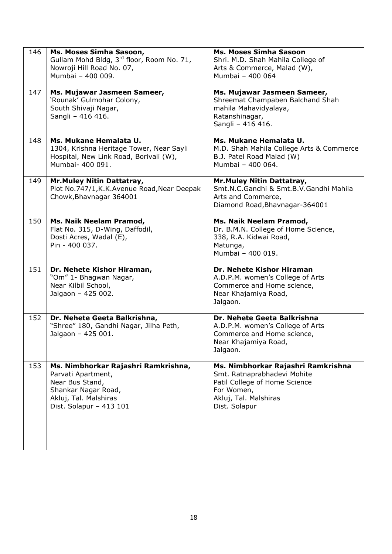| 146 | Ms. Moses Simha Sasoon,<br>Gullam Mohd Bldg, 3 <sup>rd</sup> floor, Room No. 71,<br>Nowroji Hill Road No. 07,<br>Mumbai - 400 009.                      | <b>Ms. Moses Simha Sasoon</b><br>Shri. M.D. Shah Mahila College of<br>Arts & Commerce, Malad (W),<br>Mumbai - 400 064                                      |
|-----|---------------------------------------------------------------------------------------------------------------------------------------------------------|------------------------------------------------------------------------------------------------------------------------------------------------------------|
| 147 | Ms. Mujawar Jasmeen Sameer,<br>'Rounak' Gulmohar Colony,<br>South Shivaji Nagar,<br>Sangli - 416 416.                                                   | Ms. Mujawar Jasmeen Sameer,<br>Shreemat Champaben Balchand Shah<br>mahila Mahavidyalaya,<br>Ratanshinagar,<br>Sangli - 416 416.                            |
| 148 | Ms. Mukane Hemalata U.<br>1304, Krishna Heritage Tower, Near Sayli<br>Hospital, New Link Road, Borivali (W),<br>Mumbai- 400 091.                        | Ms. Mukane Hemalata U.<br>M.D. Shah Mahila College Arts & Commerce<br>B.J. Patel Road Malad (W)<br>Mumbai - 400 064.                                       |
| 149 | <b>Mr.Muley Nitin Dattatray,</b><br>Plot No.747/1, K.K. Avenue Road, Near Deepak<br>Chowk, Bhavnagar 364001                                             | <b>Mr. Muley Nitin Dattatray,</b><br>Smt.N.C.Gandhi & Smt.B.V.Gandhi Mahila<br>Arts and Commerce,<br>Diamond Road, Bhavnagar-364001                        |
| 150 | Ms. Naik Neelam Pramod,<br>Flat No. 315, D-Wing, Daffodil,<br>Dosti Acres, Wadal (E),<br>Pin - 400 037.                                                 | Ms. Naik Neelam Pramod,<br>Dr. B.M.N. College of Home Science,<br>338, R.A. Kidwai Road,<br>Matunga,<br>Mumbai - 400 019.                                  |
| 151 | Dr. Nehete Kishor Hiraman,<br>"Om" 1- Bhagwan Nagar,<br>Near Kilbil School,<br>Jalgaon - 425 002.                                                       | Dr. Nehete Kishor Hiraman<br>A.D.P.M. women's College of Arts<br>Commerce and Home science,<br>Near Khajamiya Road,<br>Jalgaon.                            |
| 152 | Dr. Nehete Geeta Balkrishna,<br>"Shree" 180, Gandhi Nagar, Jilha Peth,<br>Jalgaon - 425 001.                                                            | Dr. Nehete Geeta Balkrishna<br>A.D.P.M. women's College of Arts<br>Commerce and Home science,<br>Near Khajamiya Road,<br>Jalgaon.                          |
| 153 | Ms. Nimbhorkar Rajashri Ramkrishna,<br>Parvati Apartment,<br>Near Bus Stand,<br>Shankar Nagar Road,<br>Akluj, Tal. Malshiras<br>Dist. Solapur - 413 101 | Ms. Nimbhorkar Rajashri Ramkrishna<br>Smt. Ratnaprabhadevi Mohite<br>Patil College of Home Science<br>For Women,<br>Akluj, Tal. Malshiras<br>Dist. Solapur |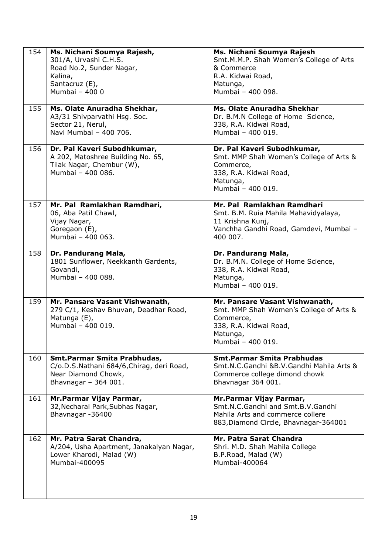| 154 | Ms. Nichani Soumya Rajesh,<br>301/A, Urvashi C.H.S.                                                                     | Ms. Nichani Soumya Rajesh<br>Smt.M.M.P. Shah Women's College of Arts                                                                              |
|-----|-------------------------------------------------------------------------------------------------------------------------|---------------------------------------------------------------------------------------------------------------------------------------------------|
|     | Road No.2, Sunder Nagar,<br>Kalina,<br>Santacruz (E),                                                                   | & Commerce<br>R.A. Kidwai Road,                                                                                                                   |
|     | Mumbai - 400 0                                                                                                          | Matunga,<br>Mumbai - 400 098.                                                                                                                     |
| 155 | Ms. Olate Anuradha Shekhar,<br>A3/31 Shivparvathi Hsg. Soc.<br>Sector 21, Nerul,<br>Navi Mumbai - 400 706.              | Ms. Olate Anuradha Shekhar<br>Dr. B.M.N College of Home Science,<br>338, R.A. Kidwai Road,<br>Mumbai - 400 019.                                   |
| 156 | Dr. Pal Kaveri Subodhkumar,<br>A 202, Matoshree Building No. 65,<br>Tilak Nagar, Chembur (W),<br>Mumbai - 400 086.      | Dr. Pal Kaveri Subodhkumar,<br>Smt. MMP Shah Women's College of Arts &<br>Commerce,<br>338, R.A. Kidwai Road,<br>Matunga,<br>Mumbai - 400 019.    |
| 157 | Mr. Pal Ramlakhan Ramdhari,<br>06, Aba Patil Chawl,<br>Vijay Nagar,<br>Goregaon (E),<br>Mumbai - 400 063.               | Mr. Pal Ramlakhan Ramdhari<br>Smt. B.M. Ruia Mahila Mahavidyalaya,<br>11 Krishna Kunj,<br>Vanchha Gandhi Road, Gamdevi, Mumbai -<br>400 007.      |
| 158 | Dr. Pandurang Mala,<br>1801 Sunflower, Neekkanth Gardents,<br>Govandi,<br>Mumbai - 400 088.                             | Dr. Pandurang Mala,<br>Dr. B.M.N. College of Home Science,<br>338, R.A. Kidwai Road,<br>Matunga,<br>Mumbai - 400 019.                             |
| 159 | Mr. Pansare Vasant Vishwanath,<br>279 C/1, Keshav Bhuvan, Deadhar Road,<br>Matunga (E),<br>Mumbai - 400 019.            | Mr. Pansare Vasant Vishwanath,<br>Smt. MMP Shah Women's College of Arts &<br>Commerce,<br>338, R.A. Kidwai Road,<br>Matunga,<br>Mumbai - 400 019. |
| 160 | Smt.Parmar Smita Prabhudas,<br>C/o.D.S.Nathani 684/6,Chirag, deri Road,<br>Near Diamond Chowk,<br>Bhavnagar $-364001$ . | <b>Smt.Parmar Smita Prabhudas</b><br>Smt.N.C.Gandhi &B.V.Gandhi Mahila Arts &<br>Commerce college dimond chowk<br>Bhavnagar 364 001.              |
| 161 | Mr. Parmar Vijay Parmar,<br>32, Necharal Park, Subhas Nagar,<br>Bhavnagar -36400                                        | Mr.Parmar Vijay Parmar,<br>Smt.N.C.Gandhi and Smt.B.V.Gandhi<br>Mahila Arts and commerce collere<br>883, Diamond Circle, Bhavnagar-364001         |
| 162 | Mr. Patra Sarat Chandra,<br>A/204, Usha Apartment, Janakalyan Nagar,<br>Lower Kharodi, Malad (W)<br>Mumbai-400095       | Mr. Patra Sarat Chandra<br>Shri. M.D. Shah Mahila College<br>B.P.Road, Malad (W)<br>Mumbai-400064                                                 |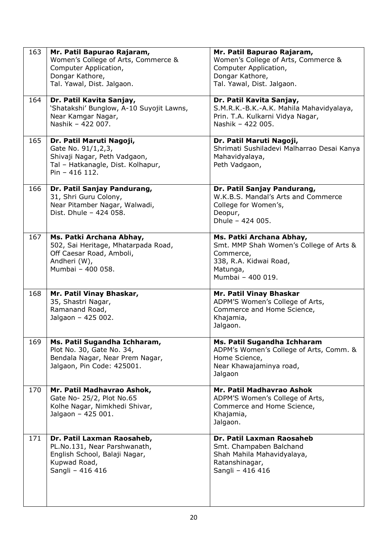| 163 | Mr. Patil Bapurao Rajaram,<br>Women's College of Arts, Commerce &                                                                     | Mr. Patil Bapurao Rajaram,<br>Women's College of Arts, Commerce &                                                                           |
|-----|---------------------------------------------------------------------------------------------------------------------------------------|---------------------------------------------------------------------------------------------------------------------------------------------|
|     | Computer Application,<br>Dongar Kathore,                                                                                              | Computer Application,<br>Dongar Kathore,                                                                                                    |
|     | Tal. Yawal, Dist. Jalgaon.                                                                                                            | Tal. Yawal, Dist. Jalgaon.                                                                                                                  |
| 164 | Dr. Patil Kavita Sanjay,<br>'Shatakshi' Bunglow, A-10 Suyojit Lawns,<br>Near Kamgar Nagar,<br>Nashik - 422 007.                       | Dr. Patil Kavita Sanjay,<br>S.M.R.K.-B.K.-A.K. Mahila Mahavidyalaya,<br>Prin. T.A. Kulkarni Vidya Nagar,<br>Nashik - 422 005.               |
| 165 | Dr. Patil Maruti Nagoji,<br>Gate No. 91/1,2,3,<br>Shivaji Nagar, Peth Vadgaon,<br>Tal - Hatkanagle, Dist. Kolhapur,<br>Pin - 416 112. | Dr. Patil Maruti Nagoji,<br>Shrimati Sushiladevi Malharrao Desai Kanya<br>Mahavidyalaya,<br>Peth Vadgaon,                                   |
| 166 | Dr. Patil Sanjay Pandurang,<br>31, Shri Guru Colony,<br>Near Pitamber Nagar, Walwadi,<br>Dist. Dhule - 424 058.                       | Dr. Patil Sanjay Pandurang,<br>W.K.B.S. Mandal's Arts and Commerce<br>College for Women's,<br>Deopur,<br>Dhule - 424 005.                   |
| 167 | Ms. Patki Archana Abhay,<br>502, Sai Heritage, Mhatarpada Road,<br>Off Caesar Road, Amboli,<br>Andheri (W),<br>Mumbai - 400 058.      | Ms. Patki Archana Abhay,<br>Smt. MMP Shah Women's College of Arts &<br>Commerce,<br>338, R.A. Kidwai Road,<br>Matunga,<br>Mumbai - 400 019. |
| 168 | Mr. Patil Vinay Bhaskar,<br>35, Shastri Nagar,<br>Ramanand Road,<br>Jalgaon - 425 002.                                                | Mr. Patil Vinay Bhaskar<br>ADPM'S Women's College of Arts,<br>Commerce and Home Science,<br>Khajamia,<br>Jalgaon.                           |
| 169 | Ms. Patil Sugandha Ichharam,<br>Plot No. 30, Gate No. 34,<br>Bendala Nagar, Near Prem Nagar,<br>Jalgaon, Pin Code: 425001.            | Ms. Patil Sugandha Ichharam<br>ADPM's Women's College of Arts, Comm. &<br>Home Science,<br>Near Khawajaminya road,<br>Jalgaon               |
| 170 | Mr. Patil Madhavrao Ashok,<br>Gate No- 25/2, Plot No.65<br>Kolhe Nagar, Nimkhedi Shivar,<br>Jalgaon - 425 001.                        | Mr. Patil Madhavrao Ashok<br>ADPM'S Women's College of Arts,<br>Commerce and Home Science,<br>Khajamia,<br>Jalgaon.                         |
| 171 | Dr. Patil Laxman Raosaheb,<br>PL.No.131, Near Parshwanath,<br>English School, Balaji Nagar,<br>Kupwad Road,<br>Sangli - 416 416       | Dr. Patil Laxman Raosaheb<br>Smt. Champaben Balchand<br>Shah Mahila Mahavidyalaya,<br>Ratanshinagar,<br>Sangli - 416 416                    |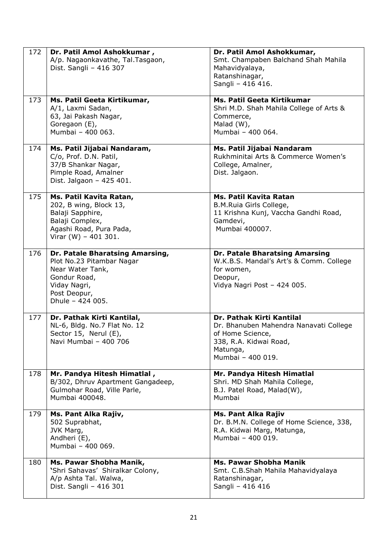| 172 | Dr. Patil Amol Ashokkumar,<br>A/p. Nagaonkavathe, Tal.Tasgaon,<br>Dist. Sangli - 416 307                                                             | Dr. Patil Amol Ashokkumar,<br>Smt. Champaben Balchand Shah Mahila<br>Mahavidyalaya,<br>Ratanshinagar,<br>Sangli - 416 416.                         |
|-----|------------------------------------------------------------------------------------------------------------------------------------------------------|----------------------------------------------------------------------------------------------------------------------------------------------------|
| 173 | Ms. Patil Geeta Kirtikumar,<br>A/1, Laxmi Sadan,<br>63, Jai Pakash Nagar,<br>Goregaon (E),<br>Mumbai - 400 063.                                      | Ms. Patil Geeta Kirtikumar<br>Shri M.D. Shah Mahila College of Arts &<br>Commerce,<br>Malad (W),<br>Mumbai - 400 064.                              |
| 174 | Ms. Patil Jijabai Nandaram,<br>C/o, Prof. D.N. Patil,<br>37/B Shankar Nagar,<br>Pimple Road, Amalner<br>Dist. Jalgaon - 425 401.                     | Ms. Patil Jijabai Nandaram<br>Rukhminitai Arts & Commerce Women's<br>College, Amalner,<br>Dist. Jalgaon.                                           |
| 175 | Ms. Patil Kavita Ratan,<br>202, B wing, Block 13,<br>Balaji Sapphire,<br>Balaji Complex,<br>Agashi Road, Pura Pada,<br>Virar $(W) - 401301$ .        | <b>Ms. Patil Kavita Ratan</b><br>B.M.Ruia Girls College,<br>11 Krishna Kunj, Vaccha Gandhi Road,<br>Gamdevi,<br>Mumbai 400007.                     |
| 176 | Dr. Patale Bharatsing Amarsing,<br>Plot No.23 Pitambar Nagar<br>Near Water Tank,<br>Gondur Road,<br>Viday Nagri,<br>Post Deopur,<br>Dhule - 424 005. | <b>Dr. Patale Bharatsing Amarsing</b><br>W.K.B.S. Mandal's Art's & Comm. College<br>for women,<br>Deopur,<br>Vidya Nagri Post - 424 005.           |
| 177 | Dr. Pathak Kirti Kantilal,<br>NL-6, Bldg. No.7 Flat No. 12<br>Sector 15, Nerul (E),<br>Navi Mumbai - 400 706                                         | Dr. Pathak Kirti Kantilal<br>Dr. Bhanuben Mahendra Nanavati College<br>of Home Science,<br>338, R.A. Kidwai Road,<br>Matunga,<br>Mumbai - 400 019. |
| 178 | Mr. Pandya Hitesh Himatlal,<br>B/302, Dhruv Apartment Gangadeep,<br>Gulmohar Road, Ville Parle,<br>Mumbai 400048.                                    | Mr. Pandya Hitesh Himatlal<br>Shri. MD Shah Mahila College,<br>B.J. Patel Road, Malad(W),<br>Mumbai                                                |
| 179 | Ms. Pant Alka Rajiv,<br>502 Suprabhat,<br>JVK Marg,<br>Andheri (E),<br>Mumbai - 400 069.                                                             | <b>Ms. Pant Alka Rajiv</b><br>Dr. B.M.N. College of Home Science, 338,<br>R.A. Kidwai Marg, Matunga,<br>Mumbai - 400 019.                          |
| 180 | Ms. Pawar Shobha Manik,<br>'Shri Sahavas' Shiralkar Colony,<br>A/p Ashta Tal. Walwa,<br>Dist. Sangli - 416 301                                       | Ms. Pawar Shobha Manik<br>Smt. C.B.Shah Mahila Mahavidyalaya<br>Ratanshinagar,<br>Sangli - 416 416                                                 |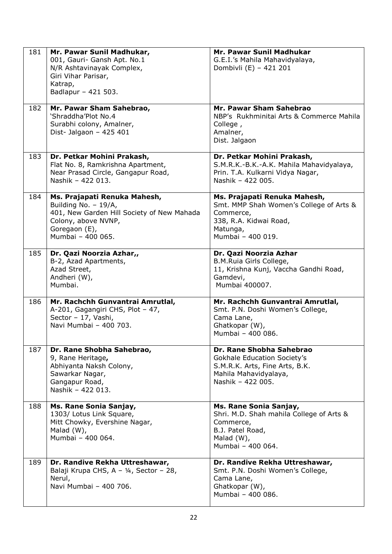| 181 | Mr. Pawar Sunil Madhukar,<br>001, Gauri- Gansh Apt. No.1<br>N/R Ashtavinayak Complex,<br>Giri Vihar Parisar,<br>Katrap,<br>Badlapur - 421 503.                  | Mr. Pawar Sunil Madhukar<br>G.E.I.'s Mahila Mahavidyalaya,<br>Dombivli (E) - 421 201                                                            |
|-----|-----------------------------------------------------------------------------------------------------------------------------------------------------------------|-------------------------------------------------------------------------------------------------------------------------------------------------|
| 182 | Mr. Pawar Sham Sahebrao,<br>'Shraddha'Plot No.4<br>Surabhi colony, Amalner,<br>Dist- Jalgaon - 425 401                                                          | Mr. Pawar Sham Sahebrao<br>NBP's Rukhminitai Arts & Commerce Mahila<br>College,<br>Amalner,<br>Dist. Jalgaon                                    |
| 183 | Dr. Petkar Mohini Prakash,<br>Flat No. 8, Ramkrishna Apartment,<br>Near Prasad Circle, Gangapur Road,<br>Nashik - 422 013.                                      | Dr. Petkar Mohini Prakash,<br>S.M.R.K.-B.K.-A.K. Mahila Mahavidyalaya,<br>Prin. T.A. Kulkarni Vidya Nagar,<br>Nashik - 422 005.                 |
| 184 | Ms. Prajapati Renuka Mahesh,<br>Building No. - 19/A,<br>401, New Garden Hill Society of New Mahada<br>Colony, above NVNP,<br>Goregaon (E),<br>Mumbai - 400 065. | Ms. Prajapati Renuka Mahesh,<br>Smt. MMP Shah Women's College of Arts &<br>Commerce,<br>338, R.A. Kidwai Road,<br>Matunga,<br>Mumbai - 400 019. |
| 185 | Dr. Qazi Noorzia Azhar,,<br>B-2, Azad Apartments,<br>Azad Street,<br>Andheri (W),<br>Mumbai.                                                                    | Dr. Qazi Noorzia Azhar<br>B.M.Ruia Girls College,<br>11, Krishna Kunj, Vaccha Gandhi Road,<br>Gamdevi,<br>Mumbai 400007.                        |
| 186 | Mr. Rachchh Gunvantrai Amrutlal,<br>A-201, Gagangiri CHS, Plot - 47,<br>Sector - 17, Vashi,<br>Navi Mumbai - 400 703.                                           | Mr. Rachchh Gunvantrai Amrutlal,<br>Smt. P.N. Doshi Women's College,<br>Cama Lane,<br>Ghatkopar (W),<br>Mumbai - 400 086.                       |
| 187 | Dr. Rane Shobha Sahebrao,<br>9, Rane Heritage,<br>Abhiyanta Naksh Colony,<br>Sawarkar Nagar,<br>Gangapur Road,<br>Nashik - 422 013.                             | Dr. Rane Shobha Sahebrao<br>Gokhale Education Society's<br>S.M.R.K. Arts, Fine Arts, B.K.<br>Mahila Mahavidyalaya,<br>Nashik - 422 005.         |
| 188 | Ms. Rane Sonia Sanjay,<br>1303/ Lotus Link Square,<br>Mitt Chowky, Evershine Nagar,<br>Malad (W),<br>Mumbai - 400 064.                                          | Ms. Rane Sonia Sanjay,<br>Shri. M.D. Shah mahila College of Arts &<br>Commerce,<br>B.J. Patel Road,<br>Malad (W),<br>Mumbai - 400 064.          |
| 189 | Dr. Randive Rekha Uttreshawar,<br>Balaji Krupa CHS, A - 1/4, Sector - 28,<br>Nerul,<br>Navi Mumbai - 400 706.                                                   | Dr. Randive Rekha Uttreshawar,<br>Smt. P.N. Doshi Women's College,<br>Cama Lane,<br>Ghatkopar (W),<br>Mumbai - 400 086.                         |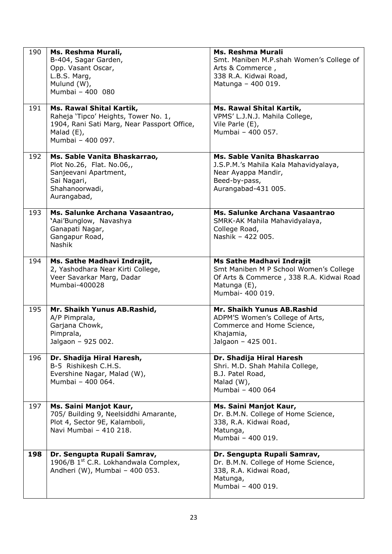| 190<br>191 | Ms. Reshma Murali,<br>B-404, Sagar Garden,<br>Opp. Vasant Oscar,<br>L.B.S. Marg,<br>Mulund (W),<br>Mumbai - 400 080<br>Ms. Rawal Shital Kartik,<br>Raheja 'Tipco' Heights, Tower No. 1,<br>1904, Rani Sati Marg, Near Passport Office,<br>Malad $(E)$ ,<br>Mumbai - 400 097. | <b>Ms. Reshma Murali</b><br>Smt. Maniben M.P.shah Women's College of<br>Arts & Commerce,<br>338 R.A. Kidwai Road,<br>Matunga - 400 019.<br>Ms. Rawal Shital Kartik,<br>VPMS' L.J.N.J. Mahila College,<br>Vile Parle (E),<br>Mumbai - 400 057. |
|------------|------------------------------------------------------------------------------------------------------------------------------------------------------------------------------------------------------------------------------------------------------------------------------|-----------------------------------------------------------------------------------------------------------------------------------------------------------------------------------------------------------------------------------------------|
| 192        | Ms. Sable Vanita Bhaskarrao,<br>Plot No.26, Flat. No.06,,<br>Sanjeevani Apartment,<br>Sai Nagari,<br>Shahanoorwadi,<br>Aurangabad,                                                                                                                                           | Ms. Sable Vanita Bhaskarrao<br>J.S.P.M.'s Mahila Kala Mahavidyalaya,<br>Near Ayappa Mandir,<br>Beed-by-pass,<br>Aurangabad-431 005.                                                                                                           |
| 193        | Ms. Salunke Archana Vasaantrao,<br>'Aai'Bunglow, Navashya<br>Ganapati Nagar,<br>Gangapur Road,<br><b>Nashik</b>                                                                                                                                                              | Ms. Salunke Archana Vasaantrao<br>SMRK-AK Mahila Mahavidyalaya,<br>College Road,<br>Nashik - 422 005.                                                                                                                                         |
| 194        | Ms. Sathe Madhavi Indrajit,<br>2, Yashodhara Near Kirti College,<br>Veer Savarkar Marg, Dadar<br>Mumbai-400028                                                                                                                                                               | Ms Sathe Madhavi Indrajit<br>Smt Maniben M P School Women's College<br>Of Arts & Commerce, 338 R.A. Kidwai Road<br>Matunga (E),<br>Mumbai- 400 019.                                                                                           |
| 195        | Mr. Shaikh Yunus AB. Rashid,<br>A/P Pimprala,<br>Garjana Chowk,<br>Pimprala,<br>Jalgaon - 925 002.                                                                                                                                                                           | Mr. Shaikh Yunus AB Rashid<br>ADPM'S Women's College of Arts,<br>Commerce and Home Science,<br>Khajamia,<br>Jalgaon - 425 001.                                                                                                                |
| 196        | Dr. Shadija Hiral Haresh,<br>B-5 Rishikesh C.H.S.<br>Evershine Nagar, Malad (W),<br>Mumbai - 400 064.                                                                                                                                                                        | Dr. Shadija Hiral Haresh<br>Shri. M.D. Shah Mahila College,<br>B.J. Patel Road,<br>Malad (W),<br>Mumbai - 400 064                                                                                                                             |
| 197        | Ms. Saini Manjot Kaur,<br>705/ Building 9, Neelsiddhi Amarante,<br>Plot 4, Sector 9E, Kalamboli,<br>Navi Mumbai - 410 218.                                                                                                                                                   | Ms. Saini Manjot Kaur,<br>Dr. B.M.N. College of Home Science,<br>338, R.A. Kidwai Road,<br>Matunga,<br>Mumbai - 400 019.                                                                                                                      |
| 198        | Dr. Sengupta Rupali Samrav,<br>1906/B $1^{st}$ C.R. Lokhandwala Complex,<br>Andheri (W), Mumbai - 400 053.                                                                                                                                                                   | Dr. Sengupta Rupali Samrav,<br>Dr. B.M.N. College of Home Science,<br>338, R.A. Kidwai Road,<br>Matunga,<br>Mumbai - 400 019.                                                                                                                 |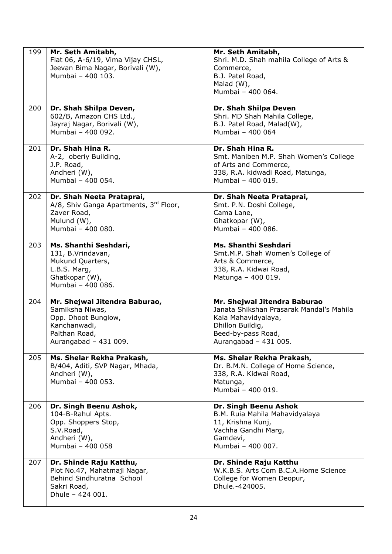| 199 | Mr. Seth Amitabh,<br>Flat 06, A-6/19, Vima Vijay CHSL,<br>Jeevan Bima Nagar, Borivali (W),<br>Mumbai - 400 103.                    | Mr. Seth Amitabh,<br>Shri. M.D. Shah mahila College of Arts &<br>Commerce,<br>B.J. Patel Road,<br>Malad (W),<br>Mumbai - 400 064.                                   |
|-----|------------------------------------------------------------------------------------------------------------------------------------|---------------------------------------------------------------------------------------------------------------------------------------------------------------------|
| 200 | Dr. Shah Shilpa Deven,<br>602/B, Amazon CHS Ltd.,<br>Jayraj Nagar, Borivali (W),<br>Mumbai - 400 092.                              | Dr. Shah Shilpa Deven<br>Shri. MD Shah Mahila College,<br>B.J. Patel Road, Malad(W),<br>Mumbai - 400 064                                                            |
| 201 | Dr. Shah Hina R.<br>A-2, oberiy Building,<br>J.P. Road,<br>Andheri (W),<br>Mumbai - 400 054.                                       | Dr. Shah Hina R.<br>Smt. Maniben M.P. Shah Women's College<br>of Arts and Commerce,<br>338, R.A. kidwadi Road, Matunga,<br>Mumbai - 400 019.                        |
| 202 | Dr. Shah Neeta Prataprai,<br>A/8, Shiv Ganga Apartments, 3rd Floor,<br>Zaver Road,<br>Mulund (W),<br>Mumbai - 400 080.             | Dr. Shah Neeta Prataprai,<br>Smt. P.N. Doshi College,<br>Cama Lane,<br>Ghatkopar (W),<br>Mumbai - 400 086.                                                          |
| 203 | Ms. Shanthi Seshdari,<br>131, B.Vrindavan,<br>Mukund Quarters,<br>L.B.S. Marg,<br>Ghatkopar (W),<br>Mumbai - 400 086.              | Ms. Shanthi Seshdari<br>Smt.M.P. Shah Women's College of<br>Arts & Commerce,<br>338, R.A. Kidwai Road,<br>Matunga - 400 019.                                        |
| 204 | Mr. Shejwal Jitendra Baburao,<br>Samiksha Niwas,<br>Opp. Dhoot Bunglow,<br>Kanchanwadi,<br>Paithan Road,<br>Aurangabad $-431009$ . | Mr. Shejwal Jitendra Baburao<br>Janata Shikshan Prasarak Mandal's Mahila<br>Kala Mahavidyalaya,<br>Dhillon Buildig,<br>Beed-by-pass Road,<br>Aurangabad $-431$ 005. |
| 205 | Ms. Shelar Rekha Prakash,<br>B/404, Aditi, SVP Nagar, Mhada,<br>Andheri (W),<br>Mumbai - 400 053.                                  | Ms. Shelar Rekha Prakash,<br>Dr. B.M.N. College of Home Science,<br>338, R.A. Kidwai Road,<br>Matunga,<br>Mumbai - 400 019.                                         |
| 206 | Dr. Singh Beenu Ashok,<br>104-B-Rahul Apts.<br>Opp. Shoppers Stop,<br>S.V.Road,<br>Andheri (W),<br>Mumbai - 400 058                | Dr. Singh Beenu Ashok<br>B.M. Ruia Mahila Mahavidyalaya<br>11, Krishna Kunj,<br>Vachha Gandhi Marg,<br>Gamdevi,<br>Mumbai - 400 007.                                |
| 207 | Dr. Shinde Raju Katthu,<br>Plot No.47, Mahatmaji Nagar,<br>Behind Sindhuratna School<br>Sakri Road,<br>Dhule - 424 001.            | Dr. Shinde Raju Katthu<br>W.K.B.S. Arts Com B.C.A.Home Science<br>College for Women Deopur,<br>Dhule.-424005.                                                       |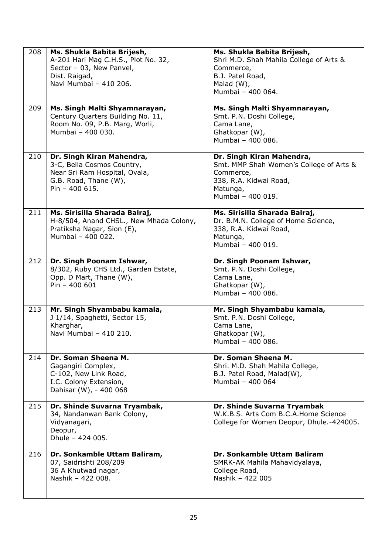| 208<br>209 | Ms. Shukla Babita Brijesh,<br>A-201 Hari Mag C.H.S., Plot No. 32,<br>Sector - 03, New Panvel,<br>Dist. Raigad,<br>Navi Mumbai - 410 206.<br>Ms. Singh Malti Shyamnarayan, | Ms. Shukla Babita Brijesh,<br>Shri M.D. Shah Mahila College of Arts &<br>Commerce,<br>B.J. Patel Road,<br>Malad (W),<br>Mumbai - 400 064.<br>Ms. Singh Malti Shyamnarayan, |
|------------|---------------------------------------------------------------------------------------------------------------------------------------------------------------------------|----------------------------------------------------------------------------------------------------------------------------------------------------------------------------|
|            | Century Quarters Building No. 11,<br>Room No. 09, P.B. Marg, Worli,<br>Mumbai - 400 030.                                                                                  | Smt. P.N. Doshi College,<br>Cama Lane,<br>Ghatkopar (W),<br>Mumbai - 400 086.                                                                                              |
| 210        | Dr. Singh Kiran Mahendra,<br>3-C, Bella Cosmos Country,<br>Near Sri Ram Hospital, Ovala,<br>G.B. Road, Thane (W),<br>Pin - 400 615.                                       | Dr. Singh Kiran Mahendra,<br>Smt. MMP Shah Women's College of Arts &<br>Commerce,<br>338, R.A. Kidwai Road,<br>Matunga,<br>Mumbai - 400 019.                               |
| 211        | Ms. Sirisilla Sharada Balraj,<br>H-8/504, Anand CHSL., New Mhada Colony,<br>Pratiksha Nagar, Sion (E),<br>Mumbai - 400 022.                                               | Ms. Sirisilla Sharada Balraj,<br>Dr. B.M.N. College of Home Science,<br>338, R.A. Kidwai Road,<br>Matunga,<br>Mumbai - 400 019.                                            |
| 212        | Dr. Singh Poonam Ishwar,<br>8/302, Ruby CHS Ltd., Garden Estate,<br>Opp. D Mart, Thane (W),<br>Pin - 400 601                                                              | Dr. Singh Poonam Ishwar,<br>Smt. P.N. Doshi College,<br>Cama Lane,<br>Ghatkopar (W),<br>Mumbai - 400 086.                                                                  |
| 213        | Mr. Singh Shyambabu kamala,<br>J 1/14, Spaghetti, Sector 15,<br>Kharghar,<br>Navi Mumbai - 410 210.                                                                       | Mr. Singh Shyambabu kamala,<br>Smt. P.N. Doshi College,<br>Cama Lane,<br>Ghatkopar (W),<br>Mumbai - 400 086.                                                               |
| 214        | Dr. Soman Sheena M.<br>Gagangiri Complex,<br>C-102, New Link Road,<br>I.C. Colony Extension,<br>Dahisar (W), - 400 068                                                    | Dr. Soman Sheena M.<br>Shri. M.D. Shah Mahila College,<br>B.J. Patel Road, Malad(W),<br>Mumbai - 400 064                                                                   |
| 215        | Dr. Shinde Suvarna Tryambak,<br>34, Nandanwan Bank Colony,<br>Vidyanagari,<br>Deopur,<br>Dhule - 424 005.                                                                 | Dr. Shinde Suvarna Tryambak<br>W.K.B.S. Arts Com B.C.A.Home Science<br>College for Women Deopur, Dhule.-424005.                                                            |
| 216        | Dr. Sonkamble Uttam Baliram,<br>07, Saidrishti 208/209<br>36 A Khutwad nagar,<br>Nashik - 422 008.                                                                        | Dr. Sonkamble Uttam Baliram<br>SMRK-AK Mahila Mahavidyalaya,<br>College Road,<br>Nashik - 422 005                                                                          |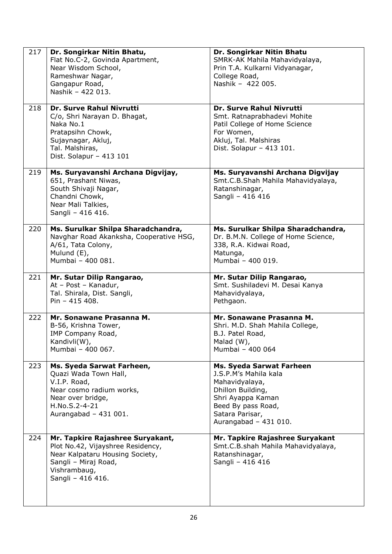| 217 | Dr. Songirkar Nitin Bhatu,<br>Flat No.C-2, Govinda Apartment,<br>Near Wisdom School,<br>Rameshwar Nagar,<br>Gangapur Road,<br>Nashik - 422 013.                       | Dr. Songirkar Nitin Bhatu<br>SMRK-AK Mahila Mahavidyalaya,<br>Prin T.A. Kulkarni Vidyanagar,<br>College Road,<br>Nashik - 422 005.                                                      |
|-----|-----------------------------------------------------------------------------------------------------------------------------------------------------------------------|-----------------------------------------------------------------------------------------------------------------------------------------------------------------------------------------|
| 218 | Dr. Surve Rahul Nivrutti<br>C/o, Shri Narayan D. Bhagat,<br>Naka No.1<br>Pratapsihn Chowk,<br>Sujaynagar, Akluj,<br>Tal. Malshiras,<br>Dist. Solapur - 413 101        | Dr. Surve Rahul Nivrutti<br>Smt. Ratnaprabhadevi Mohite<br>Patil College of Home Science<br>For Women,<br>Akluj, Tal. Malshiras<br>Dist. Solapur - 413 101.                             |
| 219 | Ms. Suryavanshi Archana Digvijay,<br>651, Prashant Niwas,<br>South Shivaji Nagar,<br>Chandni Chowk,<br>Near Mali Talkies,<br>Sangli - 416 416.                        | Ms. Suryavanshi Archana Digvijay<br>Smt.C.B.Shah Mahila Mahavidyalaya,<br>Ratanshinagar,<br>Sangli - 416 416                                                                            |
| 220 | Ms. Surulkar Shilpa Sharadchandra,<br>Navghar Road Akanksha, Cooperative HSG,<br>A/61, Tata Colony,<br>Mulund (E),<br>Mumbai - 400 081.                               | Ms. Surulkar Shilpa Sharadchandra,<br>Dr. B.M.N. College of Home Science,<br>338, R.A. Kidwai Road,<br>Matunga,<br>Mumbai - 400 019.                                                    |
| 221 | Mr. Sutar Dilip Rangarao,<br>At - Post - Kanadur,<br>Tal. Shirala, Dist. Sangli,<br>Pin - 415 408.                                                                    | Mr. Sutar Dilip Rangarao,<br>Smt. Sushiladevi M. Desai Kanya<br>Mahavidyalaya,<br>Pethgaon.                                                                                             |
| 222 | Mr. Sonawane Prasanna M.<br>B-56, Krishna Tower,<br>IMP Company Road,<br>Kandivli(W),<br>Mumbai - 400 067.                                                            | Mr. Sonawane Prasanna M.<br>Shri. M.D. Shah Mahila College,<br>B.J. Patel Road,<br>Malad (W),<br>Mumbai - 400 064                                                                       |
| 223 | Ms. Syeda Sarwat Farheen,<br>Quazi Wada Town Hall,<br>V.I.P. Road,<br>Near cosmo radium works,<br>Near over bridge,<br>H.No.S.2-4-21<br>Aurangabad $-431001$ .        | <b>Ms. Syeda Sarwat Farheen</b><br>J.S.P.M's Mahila kala<br>Mahavidyalaya,<br>Dhillon Building,<br>Shri Ayappa Kaman<br>Beed By pass Road,<br>Satara Parisar,<br>Aurangabad $-431$ 010. |
| 224 | Mr. Tapkire Rajashree Suryakant,<br>Plot No.42, Vijayshree Residency,<br>Near Kalpataru Housing Society,<br>Sangli - Miraj Road,<br>Vishrambaug,<br>Sangli - 416 416. | Mr. Tapkire Rajashree Suryakant<br>Smt.C.B.shah Mahila Mahavidyalaya,<br>Ratanshinagar,<br>Sangli - 416 416                                                                             |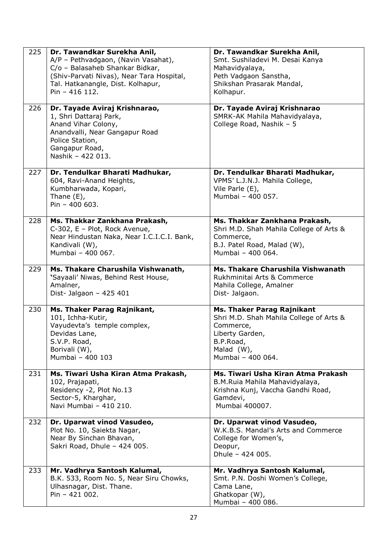| 225 | Dr. Tawandkar Surekha Anil,                   | Dr. Tawandkar Surekha Anil,             |
|-----|-----------------------------------------------|-----------------------------------------|
|     | A/P - Pethvadgaon, (Navin Vasahat),           | Smt. Sushiladevi M. Desai Kanya         |
|     | C/o - Balasaheb Shankar Bidkar,               | Mahavidyalaya,                          |
|     | (Shiv-Parvati Nivas), Near Tara Hospital,     | Peth Vadgaon Sanstha,                   |
|     | Tal. Hatkanangle, Dist. Kolhapur,             | Shikshan Prasarak Mandal,               |
|     | Pin - 416 112.                                | Kolhapur.                               |
|     |                                               |                                         |
| 226 | Dr. Tayade Aviraj Krishnarao,                 | Dr. Tayade Aviraj Krishnarao            |
|     | 1, Shri Dattaraj Park,                        | SMRK-AK Mahila Mahavidyalaya,           |
|     | Anand Vihar Colony,                           | College Road, Nashik - 5                |
|     | Anandvalli, Near Gangapur Road                |                                         |
|     | Police Station,                               |                                         |
|     | Gangapur Road,                                |                                         |
|     | Nashik - 422 013.                             |                                         |
| 227 | Dr. Tendulkar Bharati Madhukar,               | Dr. Tendulkar Bharati Madhukar,         |
|     | 604, Ravi-Anand Heights,                      | VPMS' L.J.N.J. Mahila College,          |
|     | Kumbharwada, Kopari,                          | Vile Parle (E),                         |
|     | Thane $(E)$ ,                                 | Mumbai - 400 057.                       |
|     | Pin $-400603$ .                               |                                         |
|     |                                               |                                         |
| 228 | Ms. Thakkar Zankhana Prakash,                 | Ms. Thakkar Zankhana Prakash,           |
|     | C-302, E - Plot, Rock Avenue,                 | Shri M.D. Shah Mahila College of Arts & |
|     | Near Hindustan Naka, Near I.C.I.C.I. Bank,    | Commerce,                               |
|     | Kandivali (W),                                | B.J. Patel Road, Malad (W),             |
|     | Mumbai - 400 067.                             | Mumbai - 400 064.                       |
|     |                                               |                                         |
| 229 | Ms. Thakare Charushila Vishwanath,            | Ms. Thakare Charushila Vishwanath       |
|     | 'Sayaali' Niwas, Behind Rest House,           | Rukhminitai Arts & Commerce             |
|     | Amalner,                                      | Mahila College, Amalner                 |
|     | Dist- Jalgaon - 425 401                       | Dist- Jalgaon.                          |
| 230 | Ms. Thaker Parag Rajnikant,                   | Ms. Thaker Parag Rajnikant              |
|     | 101, Ichha-Kutir,                             | Shri M.D. Shah Mahila College of Arts & |
|     | Vayudevta's temple complex,                   | Commerce,                               |
|     | Devidas Lane,                                 | Liberty Garden,                         |
|     | S.V.P. Road,                                  | B.P.Road,                               |
|     | Borivali (W),                                 | Malad (W),                              |
|     | Mumbai - 400 103                              | Mumbai - 400 064.                       |
|     |                                               |                                         |
| 231 | Ms. Tiwari Usha Kiran Atma Prakash,           | Ms. Tiwari Usha Kiran Atma Prakash      |
|     | 102, Prajapati,                               | B.M.Ruia Mahila Mahavidyalaya,          |
|     | Residency -2, Plot No.13                      | Krishna Kunj, Vaccha Gandhi Road,       |
|     | Sector-5, Kharghar,<br>Navi Mumbai - 410 210. | Gamdevi,                                |
|     |                                               | Mumbai 400007.                          |
| 232 | Dr. Uparwat vinod Vasudeo,                    | Dr. Uparwat vinod Vasudeo,              |
|     | Plot No. 10, Saiekta Nagar,                   | W.K.B.S. Mandal's Arts and Commerce     |
|     | Near By Sinchan Bhavan,                       | College for Women's,                    |
|     | Sakri Road, Dhule - 424 005.                  | Deopur,                                 |
|     |                                               | Dhule - 424 005.                        |
|     |                                               |                                         |
| 233 | Mr. Vadhrya Santosh Kalumal,                  | Mr. Vadhrya Santosh Kalumal,            |
|     | B.K. 533, Room No. 5, Near Siru Chowks,       | Smt. P.N. Doshi Women's College,        |
|     | Ulhasnagar, Dist. Thane.<br>Pin - 421 002.    | Cama Lane,                              |
|     |                                               | Ghatkopar (W),<br>Mumbai - 400 086.     |
|     |                                               |                                         |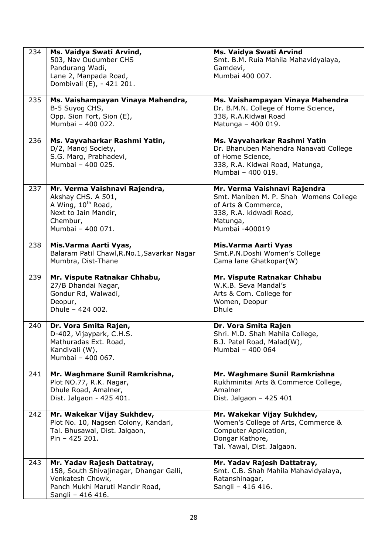| 234 | Ms. Vaidya Swati Arvind,<br>503, Nav Oudumber CHS<br>Pandurang Wadi,<br>Lane 2, Manpada Road,<br>Dombivali (E), - 421 201.                         | Ms. Vaidya Swati Arvind<br>Smt. B.M. Ruia Mahila Mahavidyalaya,<br>Gamdevi,<br>Mumbai 400 007.                                                         |
|-----|----------------------------------------------------------------------------------------------------------------------------------------------------|--------------------------------------------------------------------------------------------------------------------------------------------------------|
| 235 | Ms. Vaishampayan Vinaya Mahendra,<br>B-5 Suyog CHS,<br>Opp. Sion Fort, Sion (E),<br>Mumbai - 400 022.                                              | Ms. Vaishampayan Vinaya Mahendra<br>Dr. B.M.N. College of Home Science,<br>338, R.A.Kidwai Road<br>Matunga - 400 019.                                  |
| 236 | Ms. Vayvaharkar Rashmi Yatin,<br>D/2, Manoj Society,<br>S.G. Marg, Prabhadevi,<br>Mumbai - 400 025.                                                | Ms. Vayvaharkar Rashmi Yatin<br>Dr. Bhanuben Mahendra Nanavati College<br>of Home Science,<br>338, R.A. Kidwai Road, Matunga,<br>Mumbai - 400 019.     |
| 237 | Mr. Verma Vaishnavi Rajendra,<br>Akshay CHS. A 501,<br>A Wing, 10 <sup>th</sup> Road,<br>Next to Jain Mandir,<br>Chembur,<br>Mumbai - 400 071.     | Mr. Verma Vaishnavi Rajendra<br>Smt. Maniben M. P. Shah Womens College<br>of Arts & Commerce,<br>338, R.A. kidwadi Road,<br>Matunga,<br>Mumbai -400019 |
| 238 | Mis. Varma Aarti Vyas,<br>Balaram Patil Chawl, R. No. 1, Savarkar Nagar<br>Mumbra, Dist-Thane                                                      | Mis. Varma Aarti Vyas<br>Smt.P.N.Doshi Women's College<br>Cama lane Ghatkopar(W)                                                                       |
| 239 | Mr. Vispute Ratnakar Chhabu,<br>27/B Dhandai Nagar,<br>Gondur Rd, Walwadi,<br>Deopur,<br>Dhule - 424 002.                                          | Mr. Vispute Ratnakar Chhabu<br>W.K.B. Seva Mandal's<br>Arts & Com. College for<br>Women, Deopur<br><b>Dhule</b>                                        |
| 240 | Dr. Vora Smita Rajen,<br>D-402, Vijaypark, C.H.S.<br>Mathuradas Ext. Road,<br>Kandivali (W),<br>Mumbai - 400 067.                                  | Dr. Vora Smita Rajen<br>Shri. M.D. Shah Mahila College,<br>B.J. Patel Road, Malad(W),<br>Mumbai - 400 064                                              |
| 241 | Mr. Waghmare Sunil Ramkrishna,<br>Plot NO.77, R.K. Nagar,<br>Dhule Road, Amalner,<br>Dist. Jalgaon - 425 401.                                      | Mr. Waghmare Sunil Ramkrishna<br>Rukhminitai Arts & Commerce College,<br>Amalner<br>Dist. Jalgaon - 425 401                                            |
| 242 | Mr. Wakekar Vijay Sukhdev,<br>Plot No. 10, Nagsen Colony, Kandari,<br>Tal. Bhusawal, Dist. Jalgaon,<br>Pin - 425 201.                              | Mr. Wakekar Vijay Sukhdev,<br>Women's College of Arts, Commerce &<br>Computer Application,<br>Dongar Kathore,<br>Tal. Yawal, Dist. Jalgaon.            |
| 243 | Mr. Yadav Rajesh Dattatray,<br>158, South Shivajinagar, Dhangar Galli,<br>Venkatesh Chowk,<br>Panch Mukhi Maruti Mandir Road,<br>Sangli - 416 416. | Mr. Yadav Rajesh Dattatray,<br>Smt. C.B. Shah Mahila Mahavidyalaya,<br>Ratanshinagar,<br>Sangli - 416 416.                                             |